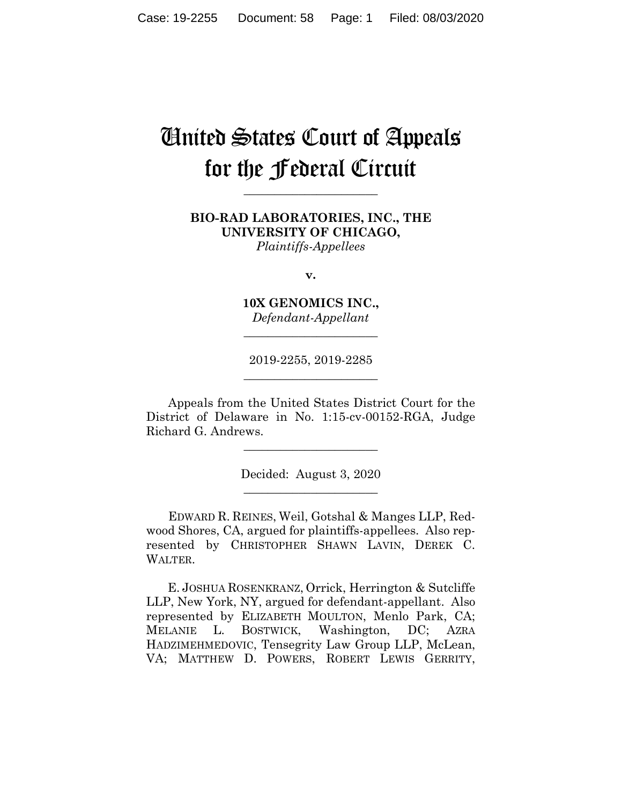# United States Court of Appeals for the Federal Circuit

**\_\_\_\_\_\_\_\_\_\_\_\_\_\_\_\_\_\_\_\_\_\_**

**BIO-RAD LABORATORIES, INC., THE UNIVERSITY OF CHICAGO,** *Plaintiffs-Appellees*

**v.**

**10X GENOMICS INC.,** *Defendant-Appellant*

**\_\_\_\_\_\_\_\_\_\_\_\_\_\_\_\_\_\_\_\_\_\_**

2019-2255, 2019-2285 **\_\_\_\_\_\_\_\_\_\_\_\_\_\_\_\_\_\_\_\_\_\_**

Appeals from the United States District Court for the District of Delaware in No. 1:15-cv-00152-RGA, Judge Richard G. Andrews.

\_\_\_\_\_\_\_\_\_\_\_\_\_\_\_\_\_\_\_\_\_\_

Decided: August 3, 2020 \_\_\_\_\_\_\_\_\_\_\_\_\_\_\_\_\_\_\_\_\_\_

EDWARD R. REINES, Weil, Gotshal & Manges LLP, Redwood Shores, CA, argued for plaintiffs-appellees. Also represented by CHRISTOPHER SHAWN LAVIN, DEREK C. WALTER.

 E. JOSHUA ROSENKRANZ, Orrick, Herrington & Sutcliffe LLP, New York, NY, argued for defendant-appellant. Also represented by ELIZABETH MOULTON, Menlo Park, CA; MELANIE L. BOSTWICK, Washington, DC; AZRA HADZIMEHMEDOVIC, Tensegrity Law Group LLP, McLean, VA; MATTHEW D. POWERS, ROBERT LEWIS GERRITY,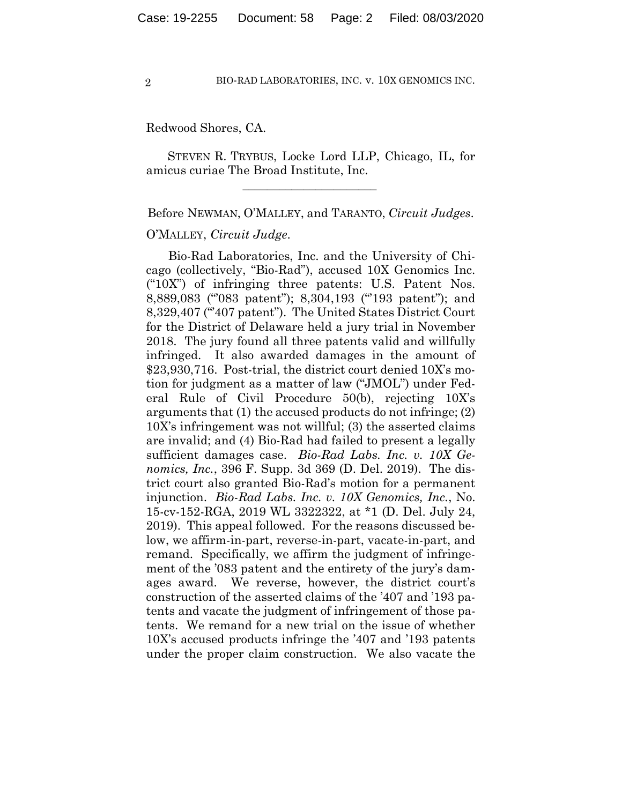Redwood Shores, CA.

 STEVEN R. TRYBUS, Locke Lord LLP, Chicago, IL, for amicus curiae The Broad Institute, Inc.

 $\mathcal{L}_\text{max}$  and  $\mathcal{L}_\text{max}$  and  $\mathcal{L}_\text{max}$  and  $\mathcal{L}_\text{max}$ 

Before NEWMAN, O'MALLEY, and TARANTO, *Circuit Judges*.

## O'MALLEY, *Circuit Judge*.

Bio-Rad Laboratories, Inc. and the University of Chicago (collectively, "Bio-Rad"), accused 10X Genomics Inc. ("10X") of infringing three patents: U.S. Patent Nos. 8,889,083 ("'083 patent"); 8,304,193 ("'193 patent"); and 8,329,407 ("407 patent"). The United States District Court for the District of Delaware held a jury trial in November 2018. The jury found all three patents valid and willfully infringed. It also awarded damages in the amount of \$23,930,716. Post-trial, the district court denied 10X's motion for judgment as a matter of law ("JMOL") under Federal Rule of Civil Procedure 50(b), rejecting 10X's arguments that (1) the accused products do not infringe; (2) 10X's infringement was not willful; (3) the asserted claims are invalid; and (4) Bio-Rad had failed to present a legally sufficient damages case. *Bio-Rad Labs. Inc. v. 10X Genomics, Inc.*, 396 F. Supp. 3d 369 (D. Del. 2019). The district court also granted Bio-Rad's motion for a permanent injunction. *Bio-Rad Labs. Inc. v. 10X Genomics, Inc.*, No. 15-cv-152-RGA, 2019 WL 3322322, at \*1 (D. Del. July 24, 2019). This appeal followed. For the reasons discussed below, we affirm-in-part, reverse-in-part, vacate-in-part, and remand. Specifically, we affirm the judgment of infringement of the '083 patent and the entirety of the jury's damages award. We reverse, however, the district court's construction of the asserted claims of the '407 and '193 patents and vacate the judgment of infringement of those patents. We remand for a new trial on the issue of whether 10X's accused products infringe the '407 and '193 patents under the proper claim construction. We also vacate the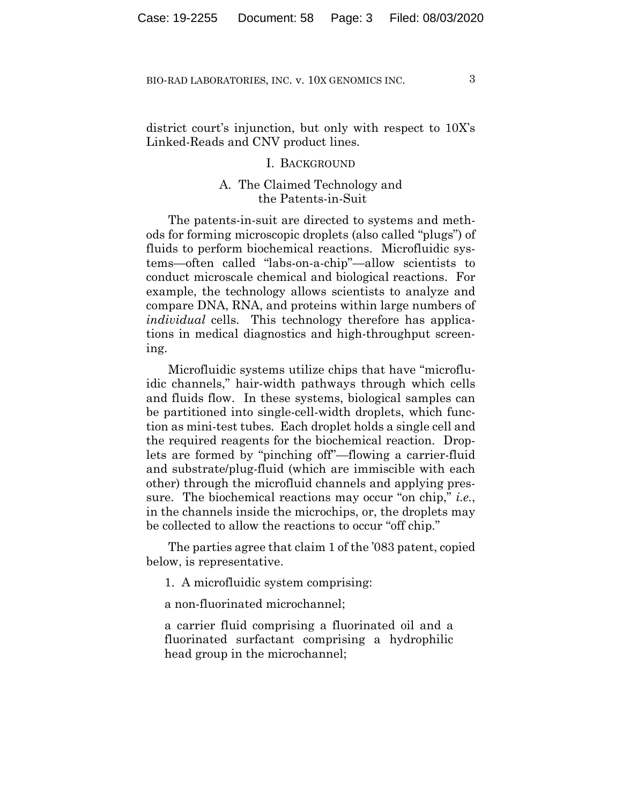district court's injunction, but only with respect to 10X's Linked-Reads and CNV product lines.

#### I. BACKGROUND

## A. The Claimed Technology and the Patents-in-Suit

The patents-in-suit are directed to systems and methods for forming microscopic droplets (also called "plugs") of fluids to perform biochemical reactions. Microfluidic systems—often called "labs-on-a-chip"—allow scientists to conduct microscale chemical and biological reactions. For example, the technology allows scientists to analyze and compare DNA, RNA, and proteins within large numbers of *individual* cells. This technology therefore has applications in medical diagnostics and high-throughput screening.

Microfluidic systems utilize chips that have "microfluidic channels," hair-width pathways through which cells and fluids flow. In these systems, biological samples can be partitioned into single-cell-width droplets, which function as mini-test tubes. Each droplet holds a single cell and the required reagents for the biochemical reaction. Droplets are formed by "pinching off"—flowing a carrier-fluid and substrate/plug-fluid (which are immiscible with each other) through the microfluid channels and applying pressure. The biochemical reactions may occur "on chip," *i.e.*, in the channels inside the microchips, or, the droplets may be collected to allow the reactions to occur "off chip."

The parties agree that claim 1 of the '083 patent, copied below, is representative.

1. A microfluidic system comprising:

a non-fluorinated microchannel;

a carrier fluid comprising a fluorinated oil and a fluorinated surfactant comprising a hydrophilic head group in the microchannel;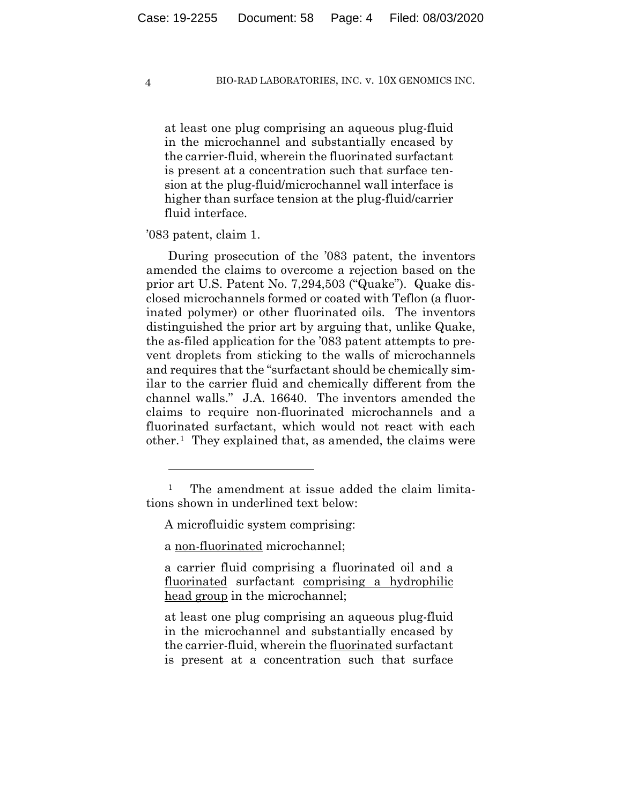at least one plug comprising an aqueous plug-fluid in the microchannel and substantially encased by the carrier-fluid, wherein the fluorinated surfactant is present at a concentration such that surface tension at the plug-fluid/microchannel wall interface is higher than surface tension at the plug-fluid/carrier fluid interface.

#### '083 patent, claim 1.

During prosecution of the '083 patent, the inventors amended the claims to overcome a rejection based on the prior art U.S. Patent No. 7,294,503 ("Quake"). Quake disclosed microchannels formed or coated with Teflon (a fluorinated polymer) or other fluorinated oils. The inventors distinguished the prior art by arguing that, unlike Quake, the as-filed application for the '083 patent attempts to prevent droplets from sticking to the walls of microchannels and requires that the "surfactant should be chemically similar to the carrier fluid and chemically different from the channel walls." J.A. 16640. The inventors amended the claims to require non-fluorinated microchannels and a fluorinated surfactant, which would not react with each other.1 They explained that, as amended, the claims were

<sup>&</sup>lt;sup>1</sup> The amendment at issue added the claim limitations shown in underlined text below:

A microfluidic system comprising:

a non-fluorinated microchannel;

a carrier fluid comprising a fluorinated oil and a fluorinated surfactant comprising a hydrophilic head group in the microchannel;

at least one plug comprising an aqueous plug-fluid in the microchannel and substantially encased by the carrier-fluid, wherein the fluorinated surfactant is present at a concentration such that surface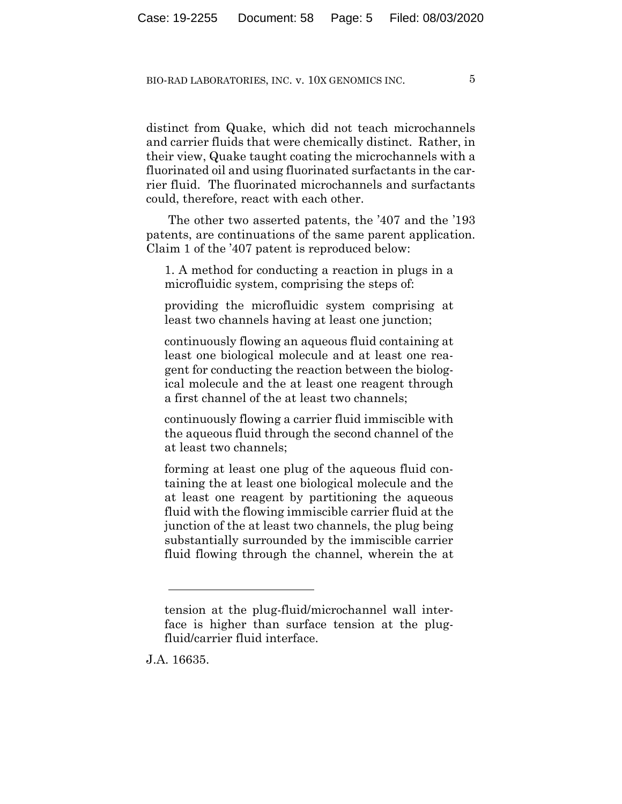distinct from Quake, which did not teach microchannels and carrier fluids that were chemically distinct. Rather, in their view, Quake taught coating the microchannels with a fluorinated oil and using fluorinated surfactants in the carrier fluid. The fluorinated microchannels and surfactants could, therefore, react with each other.

The other two asserted patents, the '407 and the '193 patents, are continuations of the same parent application. Claim 1 of the '407 patent is reproduced below:

1. A method for conducting a reaction in plugs in a microfluidic system, comprising the steps of:

providing the microfluidic system comprising at least two channels having at least one junction;

continuously flowing an aqueous fluid containing at least one biological molecule and at least one reagent for conducting the reaction between the biological molecule and the at least one reagent through a first channel of the at least two channels;

continuously flowing a carrier fluid immiscible with the aqueous fluid through the second channel of the at least two channels;

forming at least one plug of the aqueous fluid containing the at least one biological molecule and the at least one reagent by partitioning the aqueous fluid with the flowing immiscible carrier fluid at the junction of the at least two channels, the plug being substantially surrounded by the immiscible carrier fluid flowing through the channel, wherein the at

J.A. 16635.

tension at the plug-fluid/microchannel wall interface is higher than surface tension at the plugfluid/carrier fluid interface.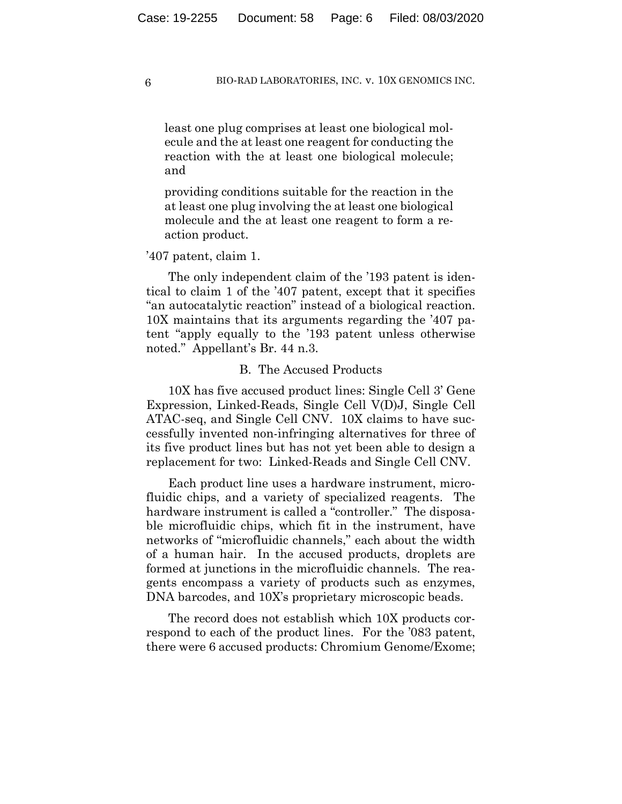least one plug comprises at least one biological molecule and the at least one reagent for conducting the reaction with the at least one biological molecule; and

providing conditions suitable for the reaction in the at least one plug involving the at least one biological molecule and the at least one reagent to form a reaction product.

#### '407 patent, claim 1.

The only independent claim of the '193 patent is identical to claim 1 of the '407 patent, except that it specifies "an autocatalytic reaction" instead of a biological reaction. 10X maintains that its arguments regarding the '407 patent "apply equally to the '193 patent unless otherwise noted." Appellant's Br. 44 n.3.

#### B. The Accused Products

10X has five accused product lines: Single Cell 3' Gene Expression, Linked-Reads, Single Cell V(D)J, Single Cell ATAC-seq, and Single Cell CNV. 10X claims to have successfully invented non-infringing alternatives for three of its five product lines but has not yet been able to design a replacement for two: Linked-Reads and Single Cell CNV.

Each product line uses a hardware instrument, microfluidic chips, and a variety of specialized reagents. The hardware instrument is called a "controller." The disposable microfluidic chips, which fit in the instrument, have networks of "microfluidic channels," each about the width of a human hair. In the accused products, droplets are formed at junctions in the microfluidic channels. The reagents encompass a variety of products such as enzymes, DNA barcodes, and  $10X$ 's proprietary microscopic beads.

The record does not establish which 10X products correspond to each of the product lines. For the '083 patent, there were 6 accused products: Chromium Genome/Exome;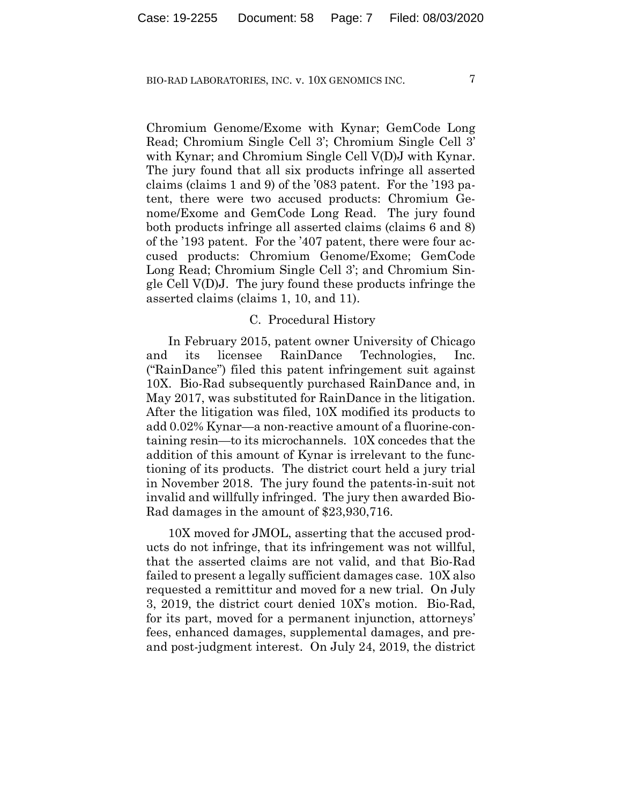Chromium Genome/Exome with Kynar; GemCode Long Read; Chromium Single Cell 3'; Chromium Single Cell 3' with Kynar; and Chromium Single Cell V(D)J with Kynar. The jury found that all six products infringe all asserted claims (claims 1 and 9) of the '083 patent. For the '193 patent, there were two accused products: Chromium Genome/Exome and GemCode Long Read. The jury found both products infringe all asserted claims (claims 6 and 8) of the '193 patent. For the '407 patent, there were four accused products: Chromium Genome/Exome; GemCode Long Read; Chromium Single Cell 3'; and Chromium Single Cell V(D)J. The jury found these products infringe the asserted claims (claims 1, 10, and 11).

#### C. Procedural History

In February 2015, patent owner University of Chicago and its licensee RainDance Technologies, Inc. ("RainDance") filed this patent infringement suit against 10X. Bio-Rad subsequently purchased RainDance and, in May 2017, was substituted for RainDance in the litigation. After the litigation was filed, 10X modified its products to add 0.02% Kynar—a non-reactive amount of a fluorine-containing resin—to its microchannels. 10X concedes that the addition of this amount of Kynar is irrelevant to the functioning of its products. The district court held a jury trial in November 2018. The jury found the patents-in-suit not invalid and willfully infringed. The jury then awarded Bio-Rad damages in the amount of \$23,930,716.

10X moved for JMOL, asserting that the accused products do not infringe, that its infringement was not willful, that the asserted claims are not valid, and that Bio-Rad failed to present a legally sufficient damages case. 10X also requested a remittitur and moved for a new trial. On July 3, 2019, the district court denied 10X's motion. Bio-Rad, for its part, moved for a permanent injunction, attorneys' fees, enhanced damages, supplemental damages, and preand post-judgment interest. On July 24, 2019, the district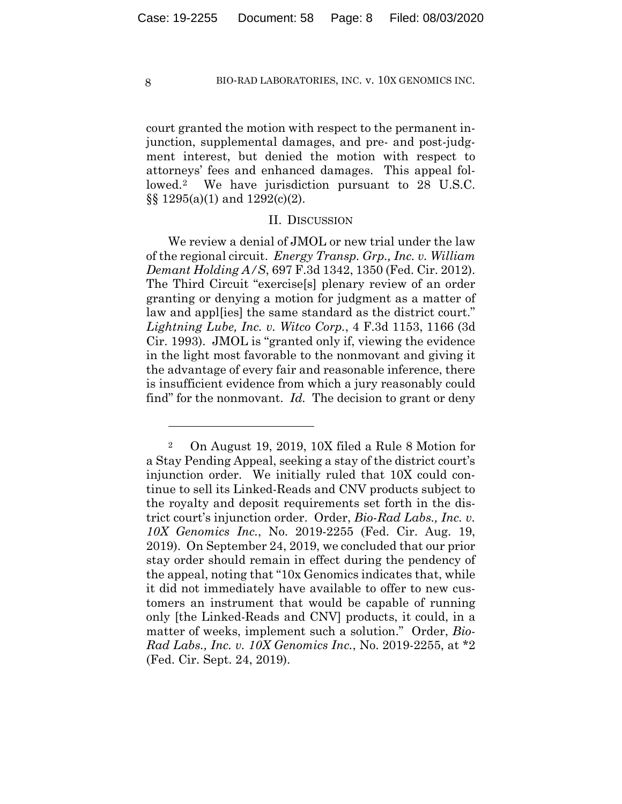court granted the motion with respect to the permanent injunction, supplemental damages, and pre- and post-judgment interest, but denied the motion with respect to attorneys' fees and enhanced damages. This appeal followed.2 We have jurisdiction pursuant to 28 U.S.C. §§ 1295(a)(1) and 1292(c)(2).

#### II. DISCUSSION

We review a denial of JMOL or new trial under the law of the regional circuit. *Energy Transp. Grp., Inc. v. William Demant Holding A/S*, 697 F.3d 1342, 1350 (Fed. Cir. 2012). The Third Circuit "exercise[s] plenary review of an order granting or denying a motion for judgment as a matter of law and appl[ies] the same standard as the district court." *Lightning Lube, Inc. v. Witco Corp.*, 4 F.3d 1153, 1166 (3d Cir. 1993). JMOL is "granted only if, viewing the evidence in the light most favorable to the nonmovant and giving it the advantage of every fair and reasonable inference, there is insufficient evidence from which a jury reasonably could find" for the nonmovant. *Id.* The decision to grant or deny

<sup>2</sup> On August 19, 2019, 10X filed a Rule 8 Motion for a Stay Pending Appeal, seeking a stay of the district court's injunction order. We initially ruled that 10X could continue to sell its Linked-Reads and CNV products subject to the royalty and deposit requirements set forth in the district court's injunction order. Order, *Bio-Rad Labs., Inc. v. 10X Genomics Inc.*, No. 2019-2255 (Fed. Cir. Aug. 19, 2019). On September 24, 2019, we concluded that our prior stay order should remain in effect during the pendency of the appeal, noting that "10x Genomics indicates that, while it did not immediately have available to offer to new customers an instrument that would be capable of running only [the Linked-Reads and CNV] products, it could, in a matter of weeks, implement such a solution." Order, *Bio-Rad Labs., Inc. v. 10X Genomics Inc.*, No. 2019-2255, at \*2 (Fed. Cir. Sept. 24, 2019).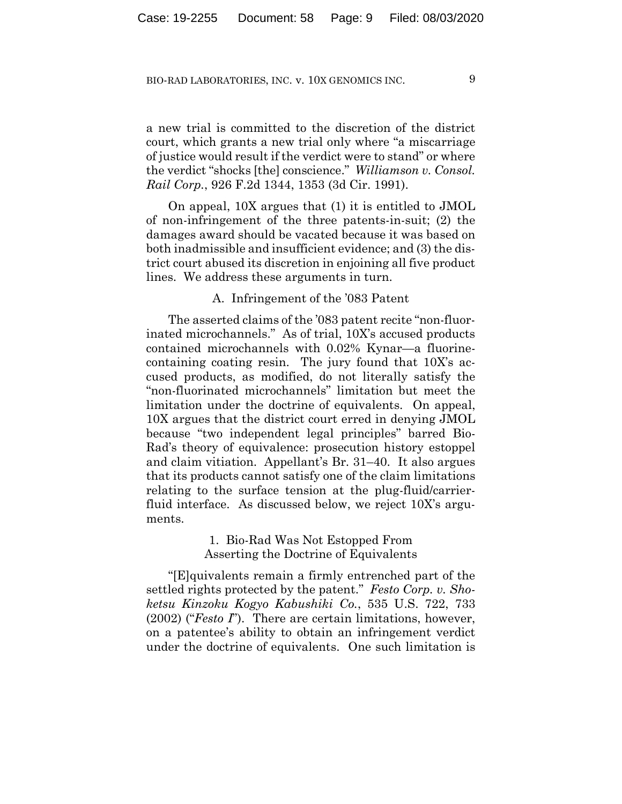a new trial is committed to the discretion of the district court, which grants a new trial only where "a miscarriage of justice would result if the verdict were to stand" or where the verdict "shocks [the] conscience." *Williamson v. Consol. Rail Corp.*, 926 F.2d 1344, 1353 (3d Cir. 1991).

On appeal, 10X argues that (1) it is entitled to JMOL of non-infringement of the three patents-in-suit; (2) the damages award should be vacated because it was based on both inadmissible and insufficient evidence; and (3) the district court abused its discretion in enjoining all five product lines. We address these arguments in turn.

#### A. Infringement of the '083 Patent

The asserted claims of the '083 patent recite "non-fluorinated microchannels." As of trial, 10X's accused products contained microchannels with 0.02% Kynar—a fluorinecontaining coating resin. The jury found that 10X's accused products, as modified, do not literally satisfy the "non-fluorinated microchannels" limitation but meet the limitation under the doctrine of equivalents. On appeal, 10X argues that the district court erred in denying JMOL because "two independent legal principles" barred Bio-Rad's theory of equivalence: prosecution history estoppel and claim vitiation. Appellant's Br. 31–40. It also argues that its products cannot satisfy one of the claim limitations relating to the surface tension at the plug-fluid/carrierfluid interface. As discussed below, we reject 10X's arguments.

> 1. Bio-Rad Was Not Estopped From Asserting the Doctrine of Equivalents

"[E]quivalents remain a firmly entrenched part of the settled rights protected by the patent." *Festo Corp. v. Shoketsu Kinzoku Kogyo Kabushiki Co.*, 535 U.S. 722, 733 (2002) ("*Festo I*"). There are certain limitations, however, on a patentee's ability to obtain an infringement verdict under the doctrine of equivalents. One such limitation is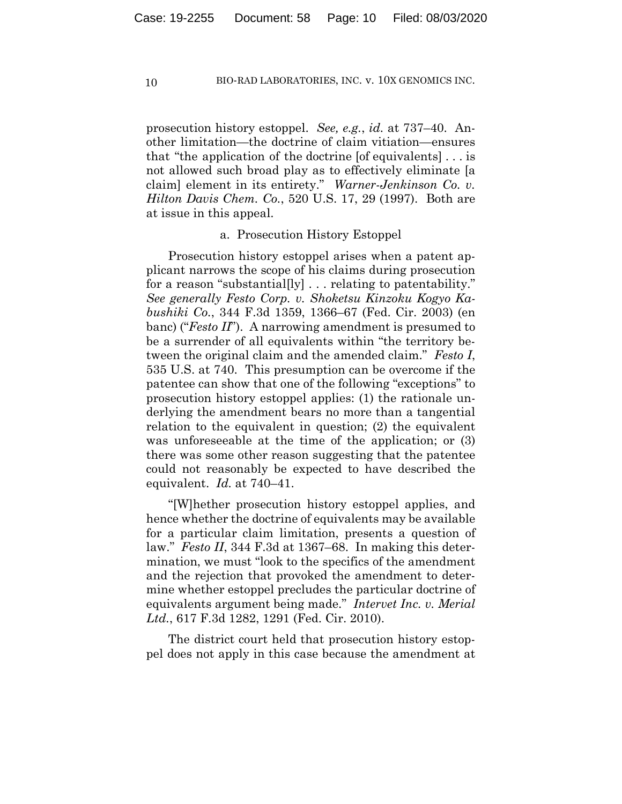prosecution history estoppel. *See, e.g.*, *id.* at 737–40. Another limitation—the doctrine of claim vitiation—ensures that "the application of the doctrine [of equivalents] . . . is not allowed such broad play as to effectively eliminate [a claim] element in its entirety." *Warner-Jenkinson Co. v. Hilton Davis Chem. Co.*, 520 U.S. 17, 29 (1997). Both are at issue in this appeal.

#### a. Prosecution History Estoppel

Prosecution history estoppel arises when a patent applicant narrows the scope of his claims during prosecution for a reason "substantial[ly] . . . relating to patentability." *See generally Festo Corp. v. Shoketsu Kinzoku Kogyo Kabushiki Co.*, 344 F.3d 1359, 1366–67 (Fed. Cir. 2003) (en banc) ("*Festo II*"). A narrowing amendment is presumed to be a surrender of all equivalents within "the territory between the original claim and the amended claim." *Festo I*, 535 U.S. at 740. This presumption can be overcome if the patentee can show that one of the following "exceptions" to prosecution history estoppel applies: (1) the rationale underlying the amendment bears no more than a tangential relation to the equivalent in question; (2) the equivalent was unforeseeable at the time of the application; or (3) there was some other reason suggesting that the patentee could not reasonably be expected to have described the equivalent. *Id.* at 740–41.

"[W]hether prosecution history estoppel applies, and hence whether the doctrine of equivalents may be available for a particular claim limitation, presents a question of law." *Festo II*, 344 F.3d at 1367–68. In making this determination, we must "look to the specifics of the amendment and the rejection that provoked the amendment to determine whether estoppel precludes the particular doctrine of equivalents argument being made." *Intervet Inc. v. Merial Ltd.*, 617 F.3d 1282, 1291 (Fed. Cir. 2010).

The district court held that prosecution history estoppel does not apply in this case because the amendment at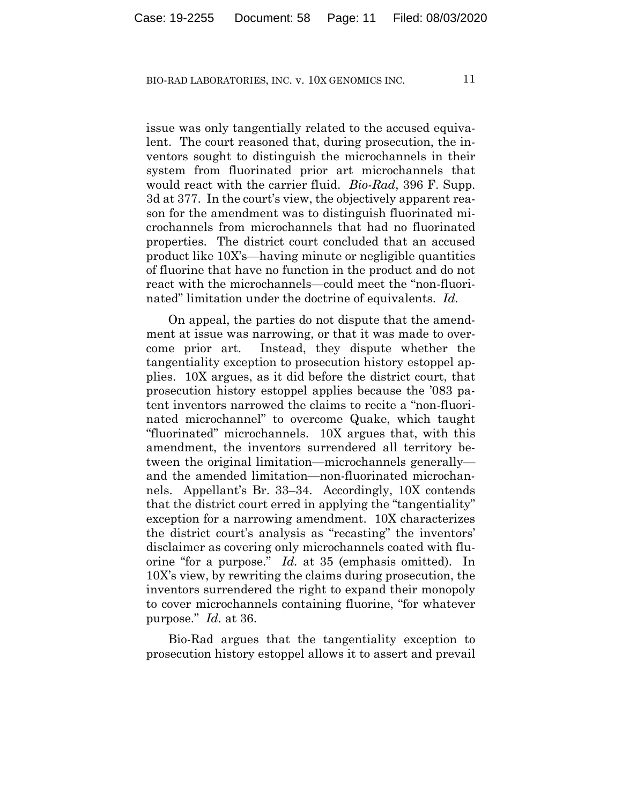issue was only tangentially related to the accused equivalent. The court reasoned that, during prosecution, the inventors sought to distinguish the microchannels in their system from fluorinated prior art microchannels that would react with the carrier fluid. *Bio-Rad*, 396 F. Supp. 3d at 377. In the court's view, the objectively apparent reason for the amendment was to distinguish fluorinated microchannels from microchannels that had no fluorinated properties. The district court concluded that an accused product like 10X's—having minute or negligible quantities of fluorine that have no function in the product and do not react with the microchannels—could meet the "non-fluorinated" limitation under the doctrine of equivalents. *Id.*

On appeal, the parties do not dispute that the amendment at issue was narrowing, or that it was made to overcome prior art. Instead, they dispute whether the tangentiality exception to prosecution history estoppel applies. 10X argues, as it did before the district court, that prosecution history estoppel applies because the '083 patent inventors narrowed the claims to recite a "non-fluorinated microchannel" to overcome Quake, which taught "fluorinated" microchannels. 10X argues that, with this amendment, the inventors surrendered all territory between the original limitation—microchannels generally and the amended limitation—non-fluorinated microchannels. Appellant's Br. 33–34. Accordingly, 10X contends that the district court erred in applying the "tangentiality" exception for a narrowing amendment. 10X characterizes the district court's analysis as "recasting" the inventors' disclaimer as covering only microchannels coated with fluorine "for a purpose." *Id.* at 35 (emphasis omitted). In 10X's view, by rewriting the claims during prosecution, the inventors surrendered the right to expand their monopoly to cover microchannels containing fluorine, "for whatever purpose." *Id.* at 36.

Bio-Rad argues that the tangentiality exception to prosecution history estoppel allows it to assert and prevail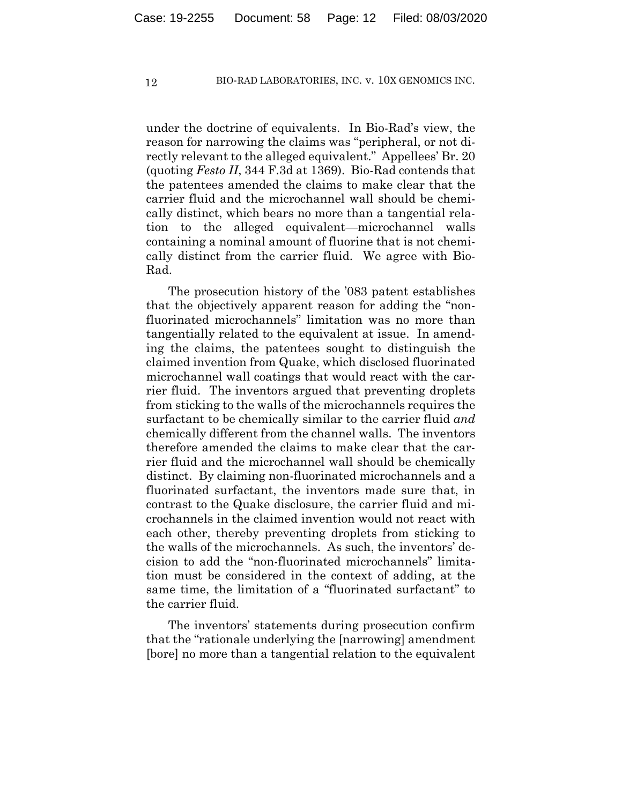under the doctrine of equivalents. In Bio-Rad's view, the reason for narrowing the claims was "peripheral, or not directly relevant to the alleged equivalent." Appellees' Br. 20 (quoting *Festo II*, 344 F.3d at 1369). Bio-Rad contends that the patentees amended the claims to make clear that the carrier fluid and the microchannel wall should be chemically distinct, which bears no more than a tangential relation to the alleged equivalent—microchannel walls containing a nominal amount of fluorine that is not chemically distinct from the carrier fluid. We agree with Bio-Rad.

The prosecution history of the '083 patent establishes that the objectively apparent reason for adding the "nonfluorinated microchannels" limitation was no more than tangentially related to the equivalent at issue. In amending the claims, the patentees sought to distinguish the claimed invention from Quake, which disclosed fluorinated microchannel wall coatings that would react with the carrier fluid. The inventors argued that preventing droplets from sticking to the walls of the microchannels requires the surfactant to be chemically similar to the carrier fluid *and* chemically different from the channel walls. The inventors therefore amended the claims to make clear that the carrier fluid and the microchannel wall should be chemically distinct. By claiming non-fluorinated microchannels and a fluorinated surfactant, the inventors made sure that, in contrast to the Quake disclosure, the carrier fluid and microchannels in the claimed invention would not react with each other, thereby preventing droplets from sticking to the walls of the microchannels. As such, the inventors' decision to add the "non-fluorinated microchannels" limitation must be considered in the context of adding, at the same time, the limitation of a "fluorinated surfactant" to the carrier fluid.

The inventors' statements during prosecution confirm that the "rationale underlying the [narrowing] amendment [bore] no more than a tangential relation to the equivalent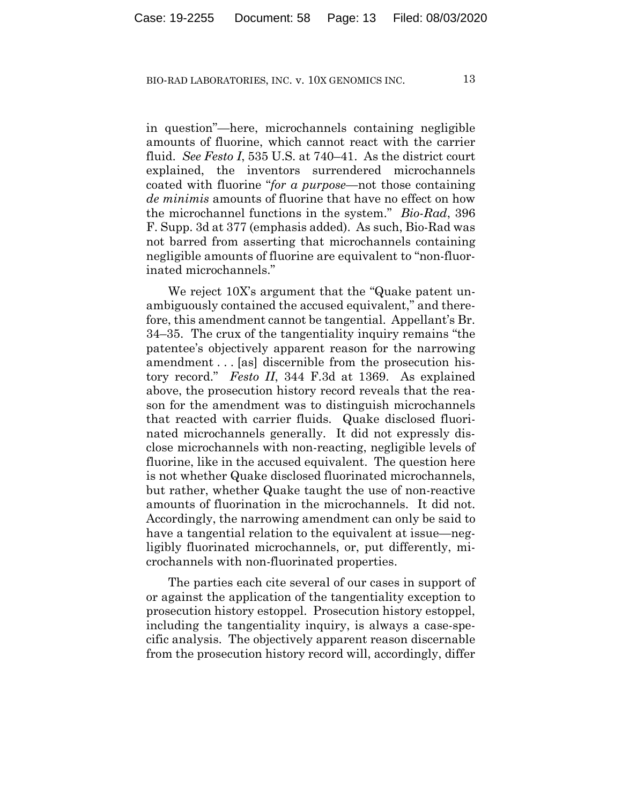in question"—here, microchannels containing negligible amounts of fluorine, which cannot react with the carrier fluid. *See Festo I*, 535 U.S. at 740–41. As the district court explained, the inventors surrendered microchannels coated with fluorine "*for a purpose*—not those containing *de minimis* amounts of fluorine that have no effect on how the microchannel functions in the system." *Bio-Rad*, 396 F. Supp. 3d at 377 (emphasis added). As such, Bio-Rad was not barred from asserting that microchannels containing negligible amounts of fluorine are equivalent to "non-fluorinated microchannels."

We reject  $10X$ 's argument that the "Quake patent unambiguously contained the accused equivalent," and therefore, this amendment cannot be tangential. Appellant's Br. 34–35. The crux of the tangentiality inquiry remains "the patentee's objectively apparent reason for the narrowing amendment . . . [as] discernible from the prosecution history record." *Festo II*, 344 F.3d at 1369. As explained above, the prosecution history record reveals that the reason for the amendment was to distinguish microchannels that reacted with carrier fluids. Quake disclosed fluorinated microchannels generally. It did not expressly disclose microchannels with non-reacting, negligible levels of fluorine, like in the accused equivalent. The question here is not whether Quake disclosed fluorinated microchannels, but rather, whether Quake taught the use of non-reactive amounts of fluorination in the microchannels. It did not. Accordingly, the narrowing amendment can only be said to have a tangential relation to the equivalent at issue—negligibly fluorinated microchannels, or, put differently, microchannels with non-fluorinated properties.

The parties each cite several of our cases in support of or against the application of the tangentiality exception to prosecution history estoppel. Prosecution history estoppel, including the tangentiality inquiry, is always a case-specific analysis. The objectively apparent reason discernable from the prosecution history record will, accordingly, differ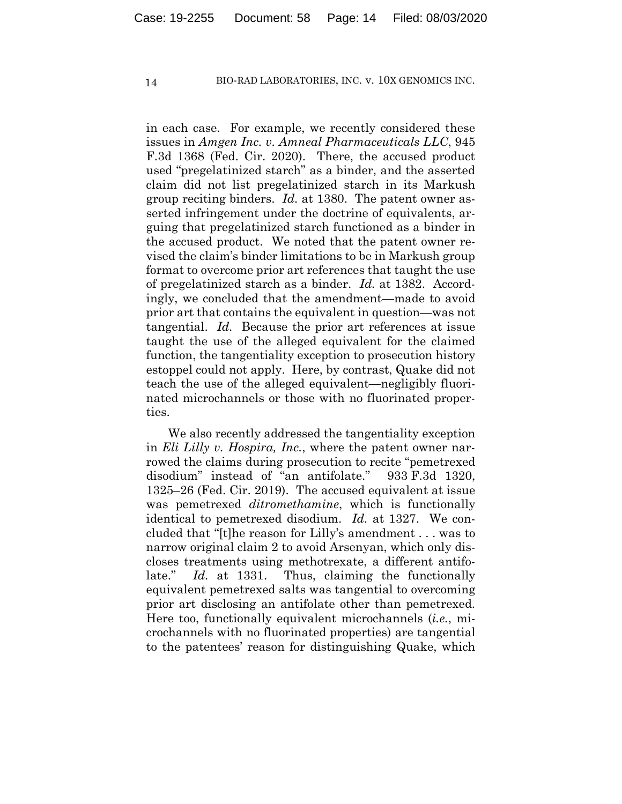in each case. For example, we recently considered these issues in *Amgen Inc. v. Amneal Pharmaceuticals LLC*, 945 F.3d 1368 (Fed. Cir. 2020). There, the accused product used "pregelatinized starch" as a binder, and the asserted claim did not list pregelatinized starch in its Markush group reciting binders. *Id.* at 1380. The patent owner asserted infringement under the doctrine of equivalents, arguing that pregelatinized starch functioned as a binder in the accused product. We noted that the patent owner revised the claim's binder limitations to be in Markush group format to overcome prior art references that taught the use of pregelatinized starch as a binder. *Id.* at 1382. Accordingly, we concluded that the amendment—made to avoid prior art that contains the equivalent in question—was not tangential. *Id.* Because the prior art references at issue taught the use of the alleged equivalent for the claimed function, the tangentiality exception to prosecution history estoppel could not apply. Here, by contrast, Quake did not teach the use of the alleged equivalent—negligibly fluorinated microchannels or those with no fluorinated properties.

We also recently addressed the tangentiality exception in *Eli Lilly v. Hospira, Inc.*, where the patent owner narrowed the claims during prosecution to recite "pemetrexed disodium" instead of "an antifolate." 933 F.3d 1320, 1325–26 (Fed. Cir. 2019). The accused equivalent at issue was pemetrexed *ditromethamine*, which is functionally identical to pemetrexed disodium. *Id.* at 1327. We concluded that "[t]he reason for Lilly's amendment . . . was to narrow original claim 2 to avoid Arsenyan, which only discloses treatments using methotrexate, a different antifolate." *Id.* at 1331. Thus, claiming the functionally equivalent pemetrexed salts was tangential to overcoming prior art disclosing an antifolate other than pemetrexed. Here too, functionally equivalent microchannels (*i.e.*, microchannels with no fluorinated properties) are tangential to the patentees' reason for distinguishing Quake, which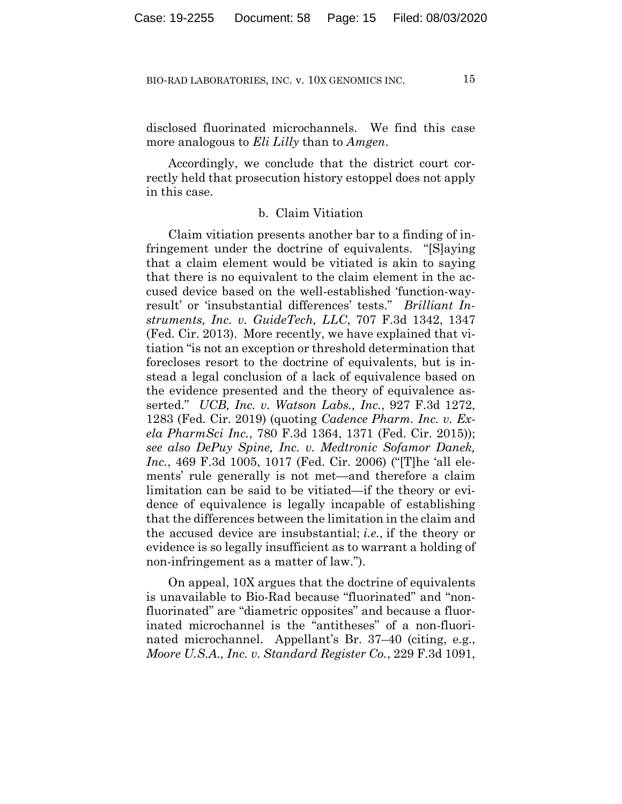disclosed fluorinated microchannels. We find this case more analogous to *Eli Lilly* than to *Amgen*.

Accordingly, we conclude that the district court correctly held that prosecution history estoppel does not apply in this case.

## b. Claim Vitiation

Claim vitiation presents another bar to a finding of infringement under the doctrine of equivalents. "[S]aying that a claim element would be vitiated is akin to saying that there is no equivalent to the claim element in the accused device based on the well-established 'function-wayresult' or 'insubstantial differences' tests." *Brilliant Instruments, Inc. v. GuideTech, LLC*, 707 F.3d 1342, 1347 (Fed. Cir. 2013). More recently, we have explained that vitiation "is not an exception or threshold determination that forecloses resort to the doctrine of equivalents, but is instead a legal conclusion of a lack of equivalence based on the evidence presented and the theory of equivalence asserted." *UCB, Inc. v. Watson Labs., Inc.*, 927 F.3d 1272, 1283 (Fed. Cir. 2019) (quoting *Cadence Pharm. Inc. v. Exela PharmSci Inc.*, 780 F.3d 1364, 1371 (Fed. Cir. 2015)); *see also DePuy Spine, Inc. v. Medtronic Sofamor Danek, Inc.*, 469 F.3d 1005, 1017 (Fed. Cir. 2006) ("[T]he 'all elements' rule generally is not met—and therefore a claim limitation can be said to be vitiated—if the theory or evidence of equivalence is legally incapable of establishing that the differences between the limitation in the claim and the accused device are insubstantial; *i.e.*, if the theory or evidence is so legally insufficient as to warrant a holding of non-infringement as a matter of law.").

On appeal, 10X argues that the doctrine of equivalents is unavailable to Bio-Rad because "fluorinated" and "nonfluorinated" are "diametric opposites" and because a fluorinated microchannel is the "antitheses" of a non-fluorinated microchannel. Appellant's Br. 37–40 (citing, e.g., *Moore U.S.A., Inc. v. Standard Register Co.*, 229 F.3d 1091,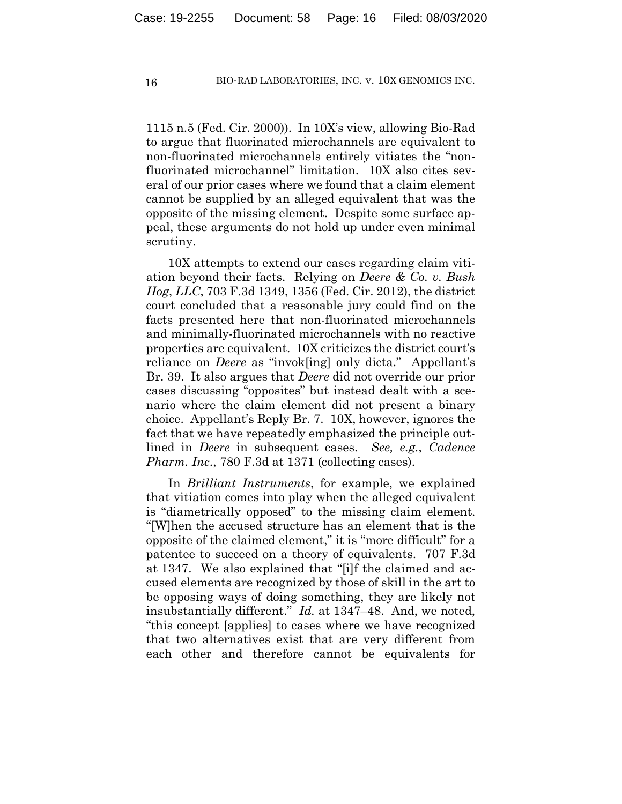1115 n.5 (Fed. Cir. 2000)). In 10X's view, allowing Bio-Rad to argue that fluorinated microchannels are equivalent to non-fluorinated microchannels entirely vitiates the "nonfluorinated microchannel" limitation. 10X also cites several of our prior cases where we found that a claim element cannot be supplied by an alleged equivalent that was the opposite of the missing element. Despite some surface appeal, these arguments do not hold up under even minimal scrutiny.

10X attempts to extend our cases regarding claim vitiation beyond their facts. Relying on *Deere & Co. v. Bush Hog*, *LLC*, 703 F.3d 1349, 1356 (Fed. Cir. 2012), the district court concluded that a reasonable jury could find on the facts presented here that non-fluorinated microchannels and minimally-fluorinated microchannels with no reactive properties are equivalent. 10X criticizes the district court's reliance on *Deere* as "invok[ing] only dicta." Appellant's Br. 39. It also argues that *Deere* did not override our prior cases discussing "opposites" but instead dealt with a scenario where the claim element did not present a binary choice. Appellant's Reply Br. 7. 10X, however, ignores the fact that we have repeatedly emphasized the principle outlined in *Deere* in subsequent cases. *See, e.g.*, *Cadence Pharm. Inc.*, 780 F.3d at 1371 (collecting cases).

In *Brilliant Instruments*, for example, we explained that vitiation comes into play when the alleged equivalent is "diametrically opposed" to the missing claim element. "[W]hen the accused structure has an element that is the opposite of the claimed element," it is "more difficult" for a patentee to succeed on a theory of equivalents. 707 F.3d at 1347. We also explained that "[i]f the claimed and accused elements are recognized by those of skill in the art to be opposing ways of doing something, they are likely not insubstantially different." *Id.* at 1347–48. And, we noted, "this concept [applies] to cases where we have recognized that two alternatives exist that are very different from each other and therefore cannot be equivalents for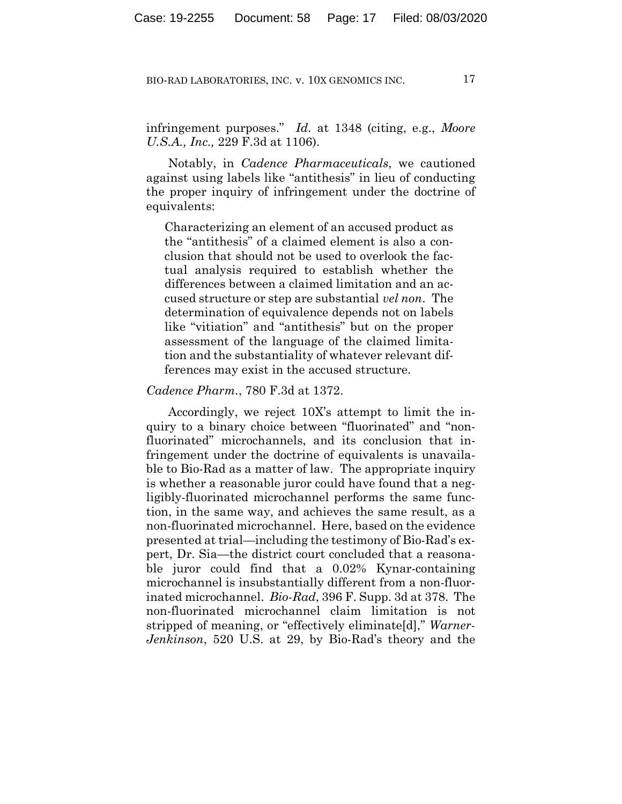infringement purposes." *Id.* at 1348 (citing, e.g., *Moore U.S.A., Inc.,* 229 F.3d at 1106).

Notably, in *Cadence Pharmaceuticals*, we cautioned against using labels like "antithesis" in lieu of conducting the proper inquiry of infringement under the doctrine of equivalents:

Characterizing an element of an accused product as the "antithesis" of a claimed element is also a conclusion that should not be used to overlook the factual analysis required to establish whether the differences between a claimed limitation and an accused structure or step are substantial *vel non*. The determination of equivalence depends not on labels like "vitiation" and "antithesis" but on the proper assessment of the language of the claimed limitation and the substantiality of whatever relevant differences may exist in the accused structure.

#### *Cadence Pharm.*, 780 F.3d at 1372.

Accordingly, we reject 10X's attempt to limit the inquiry to a binary choice between "fluorinated" and "nonfluorinated" microchannels, and its conclusion that infringement under the doctrine of equivalents is unavailable to Bio-Rad as a matter of law. The appropriate inquiry is whether a reasonable juror could have found that a negligibly-fluorinated microchannel performs the same function, in the same way, and achieves the same result, as a non-fluorinated microchannel. Here, based on the evidence presented at trial—including the testimony of Bio-Rad's expert, Dr. Sia—the district court concluded that a reasonable juror could find that a 0.02% Kynar-containing microchannel is insubstantially different from a non-fluorinated microchannel. *Bio-Rad*, 396 F. Supp. 3d at 378. The non-fluorinated microchannel claim limitation is not stripped of meaning, or "effectively eliminate[d]," *Warner-Jenkinson*, 520 U.S. at 29, by Bio-Rad's theory and the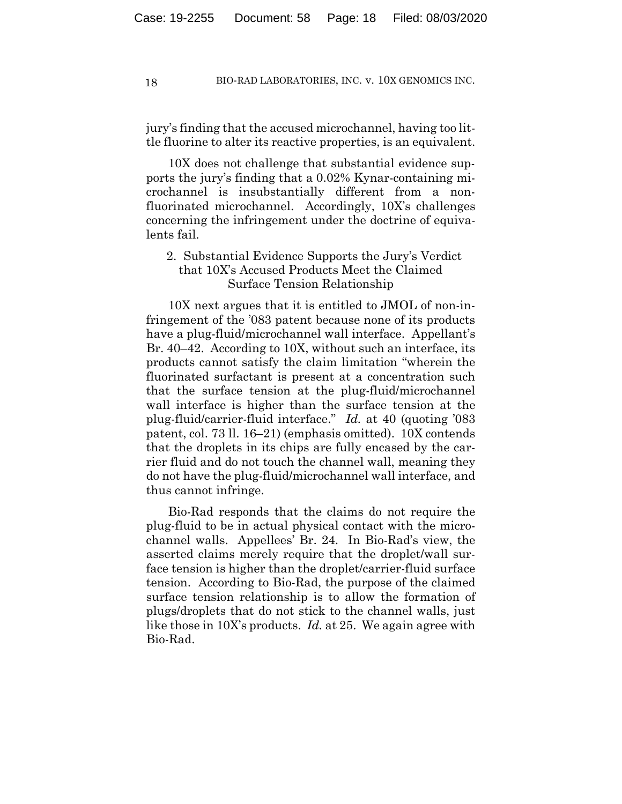jury's finding that the accused microchannel, having too little fluorine to alter its reactive properties, is an equivalent.

10X does not challenge that substantial evidence supports the jury's finding that a 0.02% Kynar-containing microchannel is insubstantially different from a nonfluorinated microchannel. Accordingly, 10X's challenges concerning the infringement under the doctrine of equivalents fail.

# 2. Substantial Evidence Supports the Jury's Verdict that 10X's Accused Products Meet the Claimed Surface Tension Relationship

10X next argues that it is entitled to JMOL of non-infringement of the '083 patent because none of its products have a plug-fluid/microchannel wall interface. Appellant's Br. 40–42. According to 10X, without such an interface, its products cannot satisfy the claim limitation "wherein the fluorinated surfactant is present at a concentration such that the surface tension at the plug-fluid/microchannel wall interface is higher than the surface tension at the plug-fluid/carrier-fluid interface." *Id.* at 40 (quoting '083 patent, col. 73 ll. 16–21) (emphasis omitted). 10X contends that the droplets in its chips are fully encased by the carrier fluid and do not touch the channel wall, meaning they do not have the plug-fluid/microchannel wall interface, and thus cannot infringe.

Bio-Rad responds that the claims do not require the plug-fluid to be in actual physical contact with the microchannel walls. Appellees' Br. 24. In Bio-Rad's view, the asserted claims merely require that the droplet/wall surface tension is higher than the droplet/carrier-fluid surface tension. According to Bio-Rad, the purpose of the claimed surface tension relationship is to allow the formation of plugs/droplets that do not stick to the channel walls, just like those in 10X's products. *Id.* at 25. We again agree with Bio-Rad.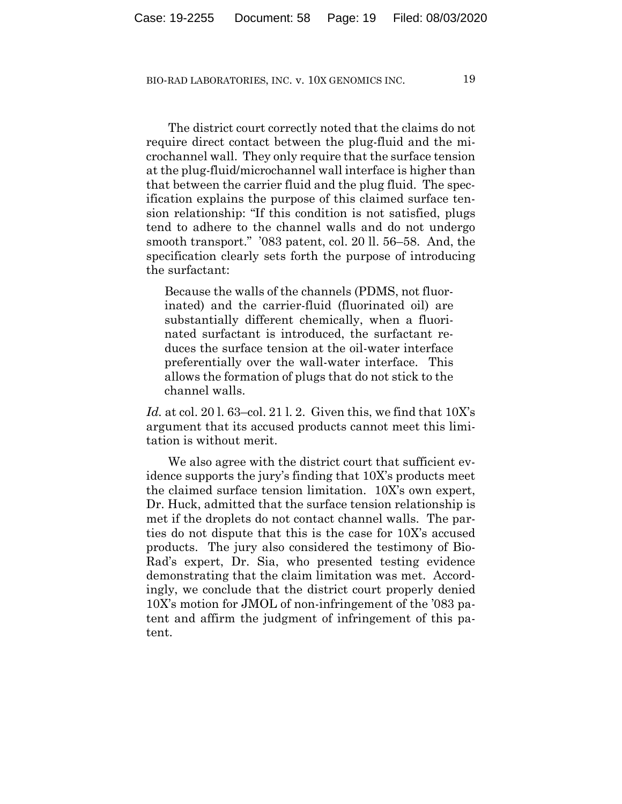The district court correctly noted that the claims do not require direct contact between the plug-fluid and the microchannel wall. They only require that the surface tension at the plug-fluid/microchannel wall interface is higher than that between the carrier fluid and the plug fluid. The specification explains the purpose of this claimed surface tension relationship: "If this condition is not satisfied, plugs tend to adhere to the channel walls and do not undergo smooth transport." '083 patent, col. 20 ll. 56–58. And, the specification clearly sets forth the purpose of introducing the surfactant:

Because the walls of the channels (PDMS, not fluorinated) and the carrier-fluid (fluorinated oil) are substantially different chemically, when a fluorinated surfactant is introduced, the surfactant reduces the surface tension at the oil-water interface preferentially over the wall-water interface. This allows the formation of plugs that do not stick to the channel walls.

*Id.* at col. 20 l. 63–col. 21 l. 2. Given this, we find that 10X's argument that its accused products cannot meet this limitation is without merit.

We also agree with the district court that sufficient evidence supports the jury's finding that 10X's products meet the claimed surface tension limitation. 10X's own expert, Dr. Huck, admitted that the surface tension relationship is met if the droplets do not contact channel walls. The parties do not dispute that this is the case for 10X's accused products. The jury also considered the testimony of Bio-Rad's expert, Dr. Sia, who presented testing evidence demonstrating that the claim limitation was met. Accordingly, we conclude that the district court properly denied 10X's motion for JMOL of non-infringement of the '083 patent and affirm the judgment of infringement of this patent.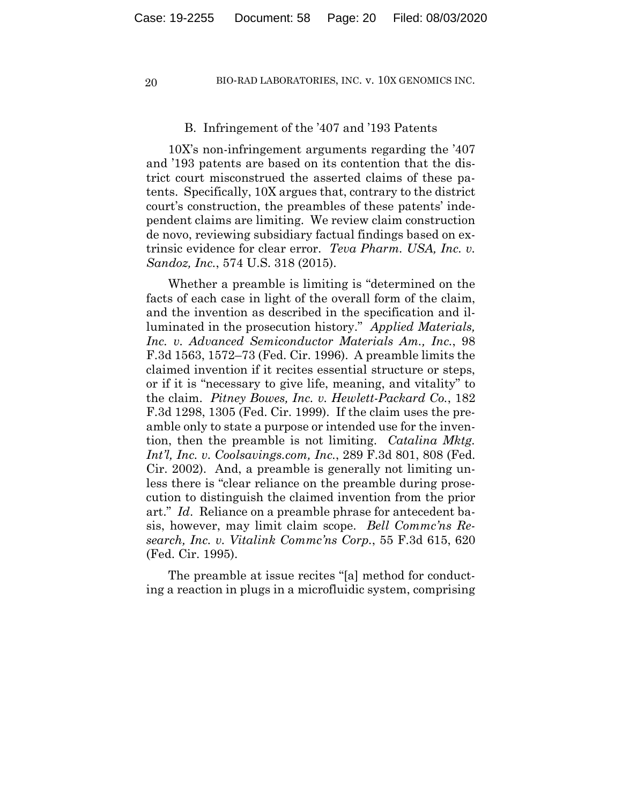#### B. Infringement of the '407 and '193 Patents

10X's non-infringement arguments regarding the '407 and '193 patents are based on its contention that the district court misconstrued the asserted claims of these patents. Specifically, 10X argues that, contrary to the district court's construction, the preambles of these patents' independent claims are limiting. We review claim construction de novo, reviewing subsidiary factual findings based on extrinsic evidence for clear error. *Teva Pharm. USA, Inc. v. Sandoz, Inc.*, 574 U.S. 318 (2015).

Whether a preamble is limiting is "determined on the facts of each case in light of the overall form of the claim, and the invention as described in the specification and illuminated in the prosecution history." *Applied Materials, Inc. v. Advanced Semiconductor Materials Am., Inc.*, 98 F.3d 1563, 1572–73 (Fed. Cir. 1996). A preamble limits the claimed invention if it recites essential structure or steps, or if it is "necessary to give life, meaning, and vitality" to the claim. *Pitney Bowes, Inc. v. Hewlett-Packard Co.*, 182 F.3d 1298, 1305 (Fed. Cir. 1999). If the claim uses the preamble only to state a purpose or intended use for the invention, then the preamble is not limiting. *Catalina Mktg. Int'l, Inc. v. Coolsavings.com, Inc.*, 289 F.3d 801, 808 (Fed. Cir. 2002). And, a preamble is generally not limiting unless there is "clear reliance on the preamble during prosecution to distinguish the claimed invention from the prior art." *Id*. Reliance on a preamble phrase for antecedent basis, however, may limit claim scope. *Bell Commc'ns Research, Inc. v. Vitalink Commc'ns Corp.*, 55 F.3d 615, 620 (Fed. Cir. 1995).

The preamble at issue recites "[a] method for conducting a reaction in plugs in a microfluidic system, comprising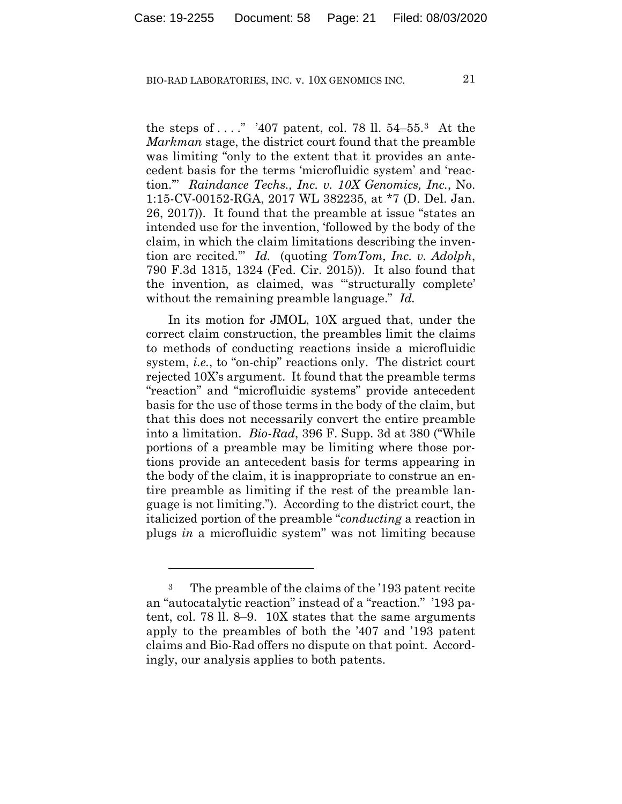the steps of  $\dots$  "407 patent, col. 78 ll. 54–55.<sup>3</sup> At the *Markman* stage, the district court found that the preamble was limiting "only to the extent that it provides an antecedent basis for the terms 'microfluidic system' and 'reaction.'" *Raindance Techs., Inc. v. 10X Genomics, Inc.*, No. 1:15-CV-00152-RGA, 2017 WL 382235, at \*7 (D. Del. Jan. 26, 2017)). It found that the preamble at issue "states an intended use for the invention, 'followed by the body of the claim, in which the claim limitations describing the invention are recited.'" *Id.* (quoting *TomTom, Inc. v. Adolph*, 790 F.3d 1315, 1324 (Fed. Cir. 2015)). It also found that the invention, as claimed, was "'structurally complete' without the remaining preamble language." *Id.*

In its motion for JMOL, 10X argued that, under the correct claim construction, the preambles limit the claims to methods of conducting reactions inside a microfluidic system, *i.e.*, to "on-chip" reactions only. The district court rejected 10X's argument. It found that the preamble terms "reaction" and "microfluidic systems" provide antecedent basis for the use of those terms in the body of the claim, but that this does not necessarily convert the entire preamble into a limitation. *Bio-Rad*, 396 F. Supp. 3d at 380 ("While portions of a preamble may be limiting where those portions provide an antecedent basis for terms appearing in the body of the claim, it is inappropriate to construe an entire preamble as limiting if the rest of the preamble language is not limiting."). According to the district court, the italicized portion of the preamble "*conducting* a reaction in plugs *in* a microfluidic system" was not limiting because

<sup>3</sup> The preamble of the claims of the '193 patent recite an "autocatalytic reaction" instead of a "reaction." '193 patent, col. 78 ll. 8–9. 10X states that the same arguments apply to the preambles of both the '407 and '193 patent claims and Bio-Rad offers no dispute on that point. Accordingly, our analysis applies to both patents.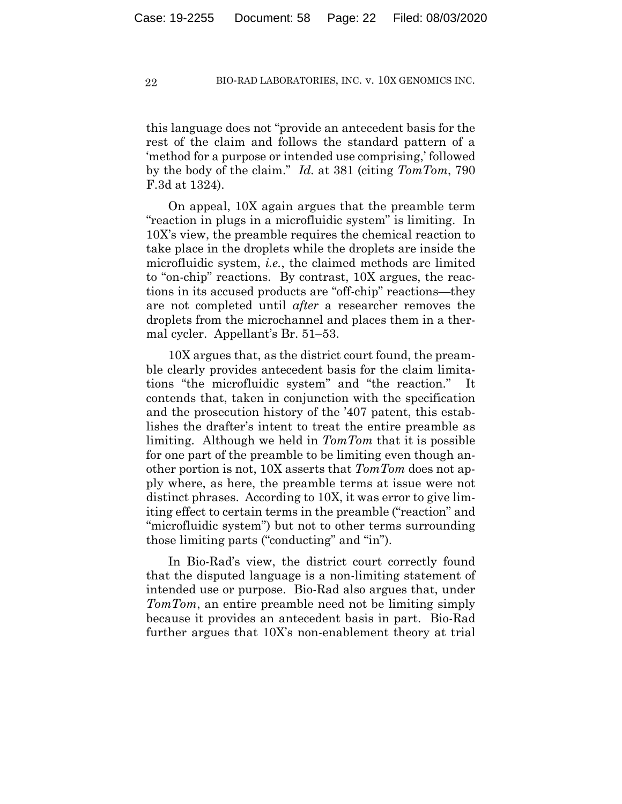this language does not "provide an antecedent basis for the rest of the claim and follows the standard pattern of a 'method for a purpose or intended use comprising,' followed by the body of the claim." *Id.* at 381 (citing *TomTom*, 790 F.3d at 1324).

On appeal, 10X again argues that the preamble term "reaction in plugs in a microfluidic system" is limiting. In 10X's view, the preamble requires the chemical reaction to take place in the droplets while the droplets are inside the microfluidic system, *i.e.*, the claimed methods are limited to "on-chip" reactions. By contrast, 10X argues, the reactions in its accused products are "off-chip" reactions—they are not completed until *after* a researcher removes the droplets from the microchannel and places them in a thermal cycler. Appellant's Br. 51–53.

10X argues that, as the district court found, the preamble clearly provides antecedent basis for the claim limitations "the microfluidic system" and "the reaction." It contends that, taken in conjunction with the specification and the prosecution history of the '407 patent, this establishes the drafter's intent to treat the entire preamble as limiting. Although we held in *TomTom* that it is possible for one part of the preamble to be limiting even though another portion is not, 10X asserts that *TomTom* does not apply where, as here, the preamble terms at issue were not distinct phrases. According to 10X, it was error to give limiting effect to certain terms in the preamble ("reaction" and "microfluidic system") but not to other terms surrounding those limiting parts ("conducting" and "in").

In Bio-Rad's view, the district court correctly found that the disputed language is a non-limiting statement of intended use or purpose. Bio-Rad also argues that, under *TomTom*, an entire preamble need not be limiting simply because it provides an antecedent basis in part. Bio-Rad further argues that 10X's non-enablement theory at trial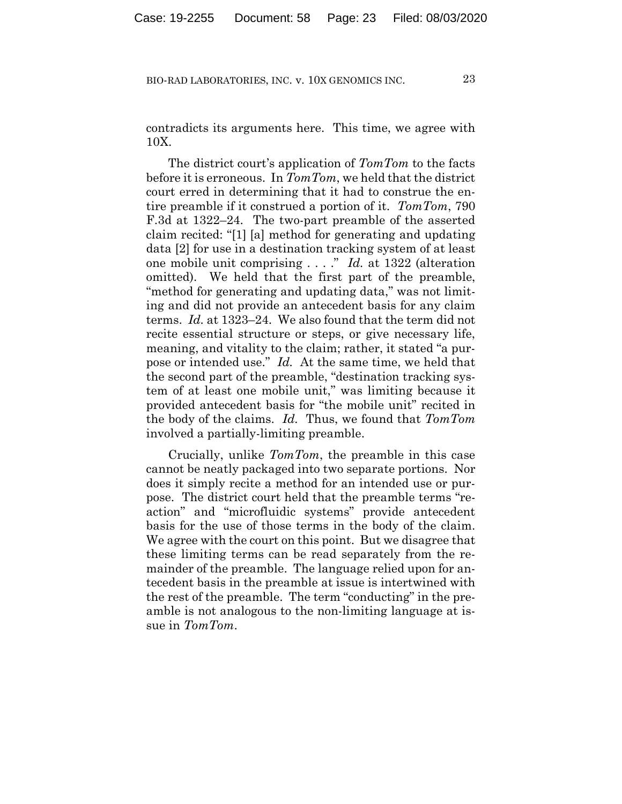contradicts its arguments here. This time, we agree with 10X.

The district court's application of *TomTom* to the facts before it is erroneous. In *TomTom*, we held that the district court erred in determining that it had to construe the entire preamble if it construed a portion of it. *TomTom*, 790 F.3d at 1322–24. The two-part preamble of the asserted claim recited: "[1] [a] method for generating and updating data [2] for use in a destination tracking system of at least one mobile unit comprising . . . ." *Id.* at 1322 (alteration omitted). We held that the first part of the preamble, "method for generating and updating data," was not limiting and did not provide an antecedent basis for any claim terms. *Id.* at 1323–24. We also found that the term did not recite essential structure or steps, or give necessary life, meaning, and vitality to the claim; rather, it stated "a purpose or intended use." *Id.* At the same time, we held that the second part of the preamble, "destination tracking system of at least one mobile unit," was limiting because it provided antecedent basis for "the mobile unit" recited in the body of the claims. *Id.* Thus, we found that *TomTom* involved a partially-limiting preamble.

Crucially, unlike *TomTom*, the preamble in this case cannot be neatly packaged into two separate portions. Nor does it simply recite a method for an intended use or purpose. The district court held that the preamble terms "reaction" and "microfluidic systems" provide antecedent basis for the use of those terms in the body of the claim. We agree with the court on this point. But we disagree that these limiting terms can be read separately from the remainder of the preamble. The language relied upon for antecedent basis in the preamble at issue is intertwined with the rest of the preamble. The term "conducting" in the preamble is not analogous to the non-limiting language at issue in *TomTom*.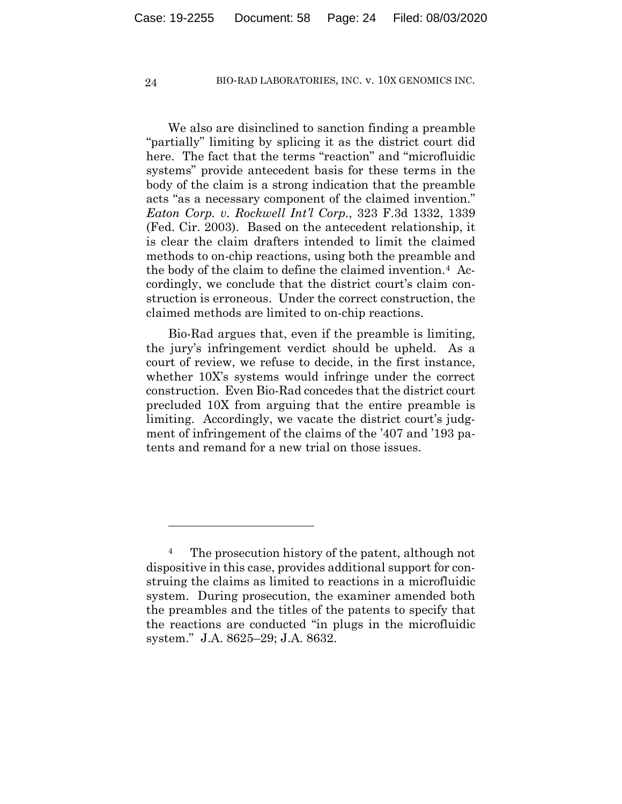We also are disinclined to sanction finding a preamble "partially" limiting by splicing it as the district court did here. The fact that the terms "reaction" and "microfluidic systems" provide antecedent basis for these terms in the body of the claim is a strong indication that the preamble acts "as a necessary component of the claimed invention." *Eaton Corp. v. Rockwell Int'l Corp.*, 323 F.3d 1332, 1339 (Fed. Cir. 2003). Based on the antecedent relationship, it is clear the claim drafters intended to limit the claimed methods to on-chip reactions, using both the preamble and the body of the claim to define the claimed invention.4 Accordingly, we conclude that the district court's claim construction is erroneous. Under the correct construction, the claimed methods are limited to on-chip reactions.

Bio-Rad argues that, even if the preamble is limiting, the jury's infringement verdict should be upheld. As a court of review, we refuse to decide, in the first instance, whether 10X's systems would infringe under the correct construction. Even Bio-Rad concedes that the district court precluded 10X from arguing that the entire preamble is limiting. Accordingly, we vacate the district court's judgment of infringement of the claims of the '407 and '193 patents and remand for a new trial on those issues.

<sup>4</sup> The prosecution history of the patent, although not dispositive in this case, provides additional support for construing the claims as limited to reactions in a microfluidic system. During prosecution, the examiner amended both the preambles and the titles of the patents to specify that the reactions are conducted "in plugs in the microfluidic system." J.A. 8625–29; J.A. 8632.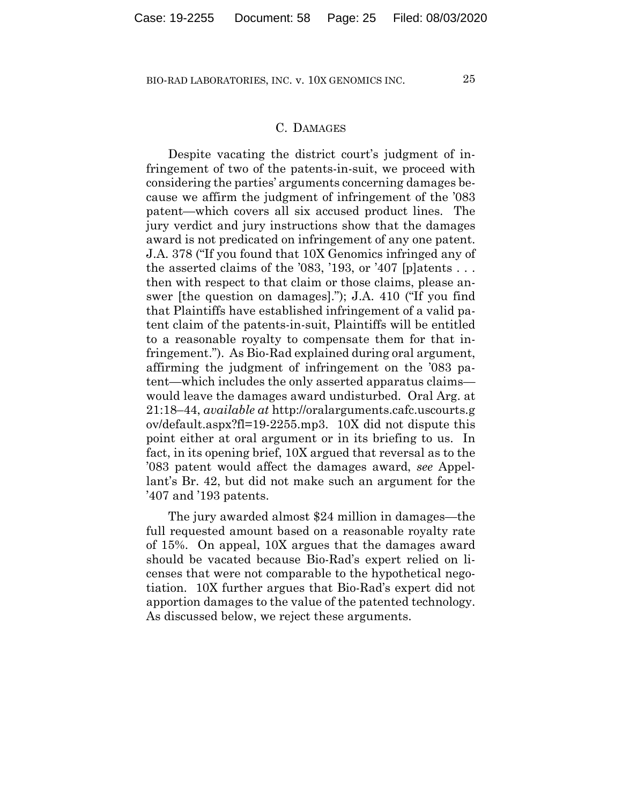## C. DAMAGES

Despite vacating the district court's judgment of infringement of two of the patents-in-suit, we proceed with considering the parties' arguments concerning damages because we affirm the judgment of infringement of the '083 patent—which covers all six accused product lines. The jury verdict and jury instructions show that the damages award is not predicated on infringement of any one patent. J.A. 378 ("If you found that 10X Genomics infringed any of the asserted claims of the  $'083, '193, '07$  [p]atents  $\ldots$ then with respect to that claim or those claims, please answer [the question on damages]."); J.A. 410 ("If you find that Plaintiffs have established infringement of a valid patent claim of the patents-in-suit, Plaintiffs will be entitled to a reasonable royalty to compensate them for that infringement."). As Bio-Rad explained during oral argument, affirming the judgment of infringement on the '083 patent—which includes the only asserted apparatus claims would leave the damages award undisturbed. Oral Arg. at 21:18–44, *available at* http://oralarguments.cafc.uscourts.g ov/default.aspx?fl=19-2255.mp3. 10X did not dispute this point either at oral argument or in its briefing to us. In fact, in its opening brief, 10X argued that reversal as to the '083 patent would affect the damages award, *see* Appellant's Br. 42, but did not make such an argument for the '407 and '193 patents.

The jury awarded almost \$24 million in damages—the full requested amount based on a reasonable royalty rate of 15%. On appeal, 10X argues that the damages award should be vacated because Bio-Rad's expert relied on licenses that were not comparable to the hypothetical negotiation. 10X further argues that Bio-Rad's expert did not apportion damages to the value of the patented technology. As discussed below, we reject these arguments.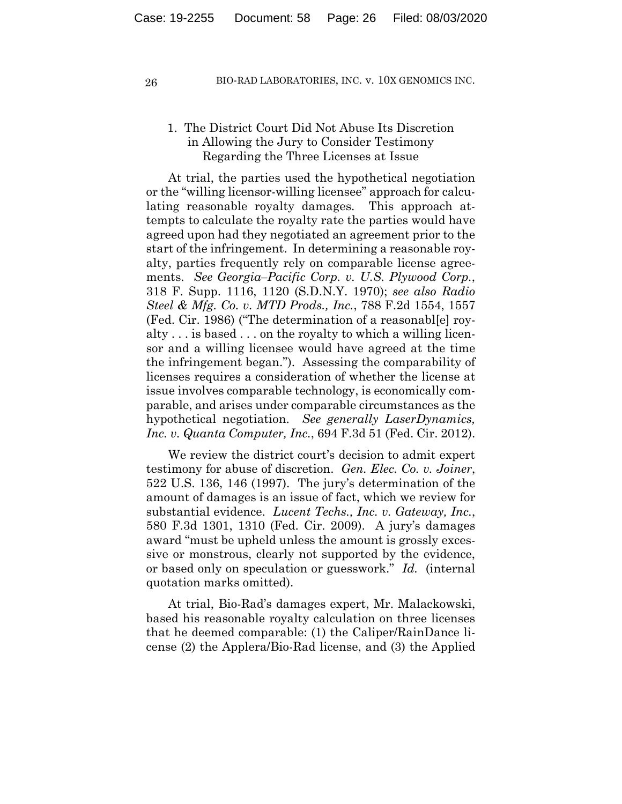# 1. The District Court Did Not Abuse Its Discretion in Allowing the Jury to Consider Testimony Regarding the Three Licenses at Issue

At trial, the parties used the hypothetical negotiation or the "willing licensor-willing licensee" approach for calculating reasonable royalty damages. This approach attempts to calculate the royalty rate the parties would have agreed upon had they negotiated an agreement prior to the start of the infringement. In determining a reasonable royalty, parties frequently rely on comparable license agreements. *See Georgia–Pacific Corp. v. U.S. Plywood Corp.*, 318 F. Supp. 1116, 1120 (S.D.N.Y. 1970); *see also Radio Steel & Mfg. Co. v. MTD Prods., Inc.*, 788 F.2d 1554, 1557 (Fed. Cir. 1986) ("The determination of a reasonabl[e] royalty . . . is based . . . on the royalty to which a willing licensor and a willing licensee would have agreed at the time the infringement began."). Assessing the comparability of licenses requires a consideration of whether the license at issue involves comparable technology, is economically comparable, and arises under comparable circumstances as the hypothetical negotiation. *See generally LaserDynamics, Inc. v. Quanta Computer, Inc.*, 694 F.3d 51 (Fed. Cir. 2012).

We review the district court's decision to admit expert testimony for abuse of discretion. *Gen. Elec. Co. v. Joiner*, 522 U.S. 136, 146 (1997). The jury's determination of the amount of damages is an issue of fact, which we review for substantial evidence. *Lucent Techs., Inc. v. Gateway, Inc.*, 580 F.3d 1301, 1310 (Fed. Cir. 2009). A jury's damages award "must be upheld unless the amount is grossly excessive or monstrous, clearly not supported by the evidence, or based only on speculation or guesswork." *Id.* (internal quotation marks omitted).

At trial, Bio-Rad's damages expert, Mr. Malackowski, based his reasonable royalty calculation on three licenses that he deemed comparable: (1) the Caliper/RainDance license (2) the Applera/Bio-Rad license, and (3) the Applied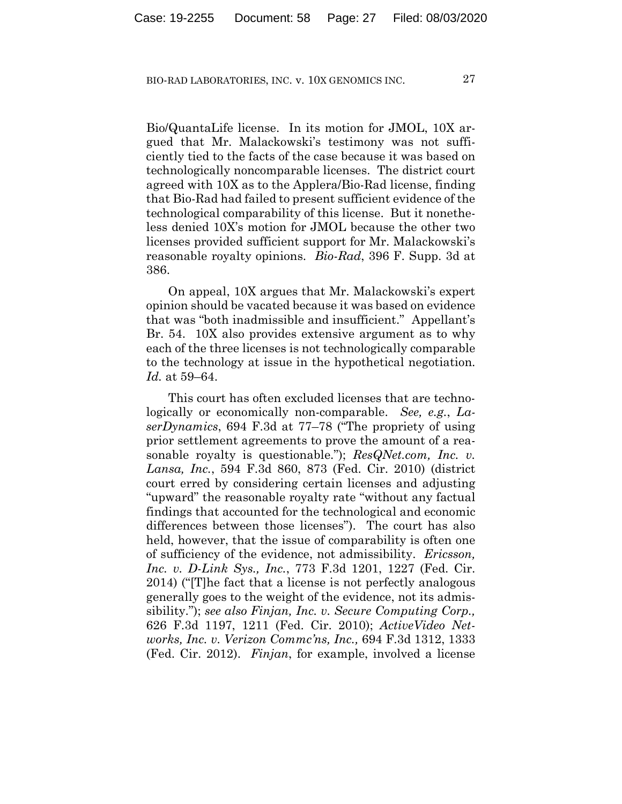Bio/QuantaLife license. In its motion for JMOL, 10X argued that Mr. Malackowski's testimony was not sufficiently tied to the facts of the case because it was based on technologically noncomparable licenses. The district court agreed with 10X as to the Applera/Bio-Rad license, finding that Bio-Rad had failed to present sufficient evidence of the technological comparability of this license. But it nonetheless denied 10X's motion for JMOL because the other two licenses provided sufficient support for Mr. Malackowski's reasonable royalty opinions. *Bio-Rad*, 396 F. Supp. 3d at 386.

On appeal, 10X argues that Mr. Malackowski's expert opinion should be vacated because it was based on evidence that was "both inadmissible and insufficient." Appellant's Br. 54. 10X also provides extensive argument as to why each of the three licenses is not technologically comparable to the technology at issue in the hypothetical negotiation. *Id.* at 59–64.

This court has often excluded licenses that are technologically or economically non-comparable. *See, e.g.*, *LaserDynamics*, 694 F.3d at 77–78 ("The propriety of using prior settlement agreements to prove the amount of a reasonable royalty is questionable."); *ResQNet.com, Inc. v. Lansa, Inc.*, 594 F.3d 860, 873 (Fed. Cir. 2010) (district court erred by considering certain licenses and adjusting "upward" the reasonable royalty rate "without any factual findings that accounted for the technological and economic differences between those licenses"). The court has also held, however, that the issue of comparability is often one of sufficiency of the evidence, not admissibility. *Ericsson, Inc. v. D-Link Sys., Inc.*, 773 F.3d 1201, 1227 (Fed. Cir. 2014) ("[T]he fact that a license is not perfectly analogous generally goes to the weight of the evidence, not its admissibility."); *see also Finjan, Inc. v. Secure Computing Corp.,* 626 F.3d 1197, 1211 (Fed. Cir. 2010); *ActiveVideo Networks, Inc. v. Verizon Commc'ns, Inc.,* 694 F.3d 1312, 1333 (Fed. Cir. 2012). *Finjan*, for example, involved a license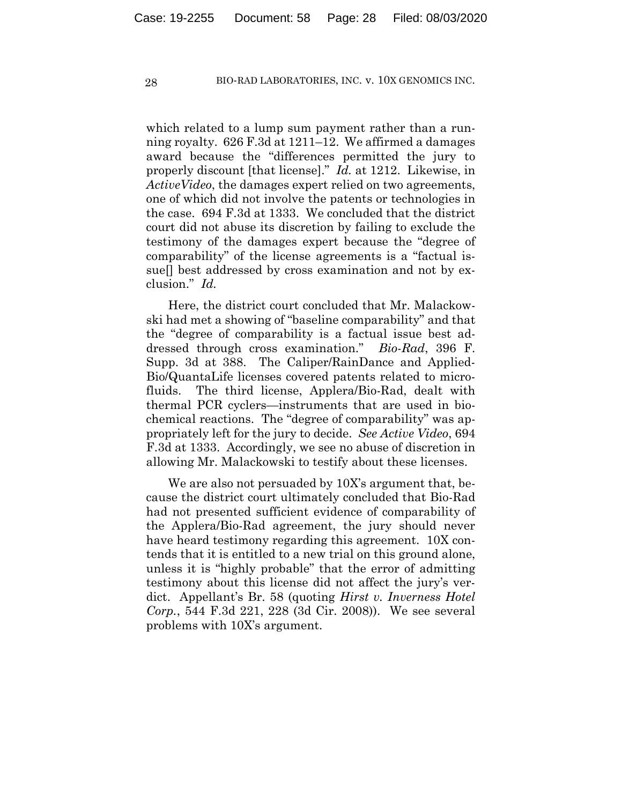which related to a lump sum payment rather than a running royalty. 626 F.3d at 1211–12. We affirmed a damages award because the "differences permitted the jury to properly discount [that license]." *Id.* at 1212.Likewise, in *ActiveVideo*, the damages expert relied on two agreements, one of which did not involve the patents or technologies in the case. 694 F.3d at 1333. We concluded that the district court did not abuse its discretion by failing to exclude the testimony of the damages expert because the "degree of comparability" of the license agreements is a "factual issue<sup>[]</sup> best addressed by cross examination and not by exclusion." *Id.*

Here, the district court concluded that Mr. Malackowski had met a showing of "baseline comparability" and that the "degree of comparability is a factual issue best addressed through cross examination." *Bio-Rad*, 396 F. Supp. 3d at 388. The Caliper/RainDance and Applied-Bio/QuantaLife licenses covered patents related to microfluids. The third license, Applera/Bio-Rad, dealt with thermal PCR cyclers—instruments that are used in biochemical reactions. The "degree of comparability" was appropriately left for the jury to decide. *See Active Video*, 694 F.3d at 1333. Accordingly, we see no abuse of discretion in allowing Mr. Malackowski to testify about these licenses.

We are also not persuaded by 10X's argument that, because the district court ultimately concluded that Bio-Rad had not presented sufficient evidence of comparability of the Applera/Bio-Rad agreement, the jury should never have heard testimony regarding this agreement. 10X contends that it is entitled to a new trial on this ground alone, unless it is "highly probable" that the error of admitting testimony about this license did not affect the jury's verdict. Appellant's Br. 58 (quoting *Hirst v. Inverness Hotel Corp.*, 544 F.3d 221, 228 (3d Cir. 2008)). We see several problems with 10X's argument.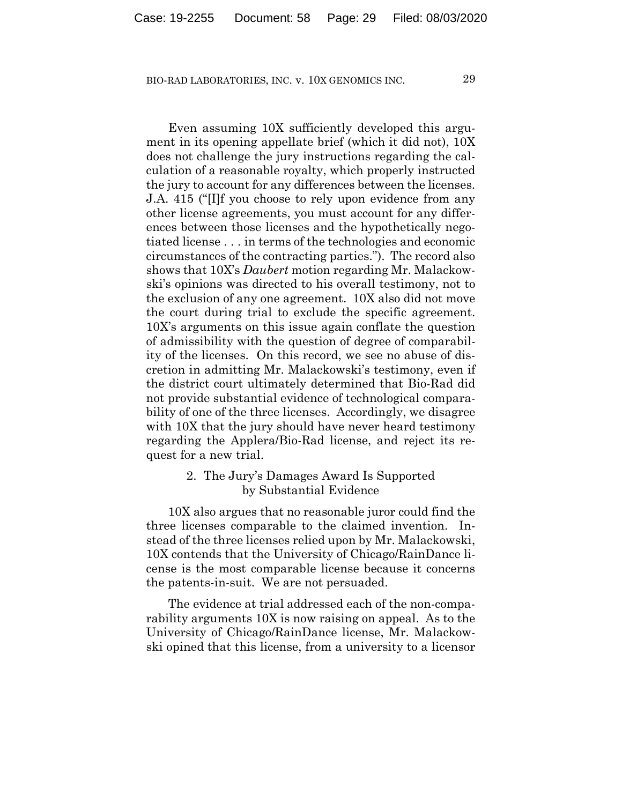Even assuming 10X sufficiently developed this argument in its opening appellate brief (which it did not), 10X does not challenge the jury instructions regarding the calculation of a reasonable royalty, which properly instructed the jury to account for any differences between the licenses. J.A. 415 ("[I]f you choose to rely upon evidence from any other license agreements, you must account for any differences between those licenses and the hypothetically negotiated license . . . in terms of the technologies and economic circumstances of the contracting parties."). The record also shows that 10X's *Daubert* motion regarding Mr. Malackowski's opinions was directed to his overall testimony, not to the exclusion of any one agreement. 10X also did not move the court during trial to exclude the specific agreement. 10X's arguments on this issue again conflate the question of admissibility with the question of degree of comparability of the licenses. On this record, we see no abuse of discretion in admitting Mr. Malackowski's testimony, even if the district court ultimately determined that Bio-Rad did not provide substantial evidence of technological comparability of one of the three licenses. Accordingly, we disagree with 10X that the jury should have never heard testimony regarding the Applera/Bio-Rad license, and reject its request for a new trial.

## 2. The Jury's Damages Award Is Supported by Substantial Evidence

10X also argues that no reasonable juror could find the three licenses comparable to the claimed invention. Instead of the three licenses relied upon by Mr. Malackowski, 10X contends that the University of Chicago/RainDance license is the most comparable license because it concerns the patents-in-suit. We are not persuaded.

The evidence at trial addressed each of the non-comparability arguments 10X is now raising on appeal. As to the University of Chicago/RainDance license, Mr. Malackowski opined that this license, from a university to a licensor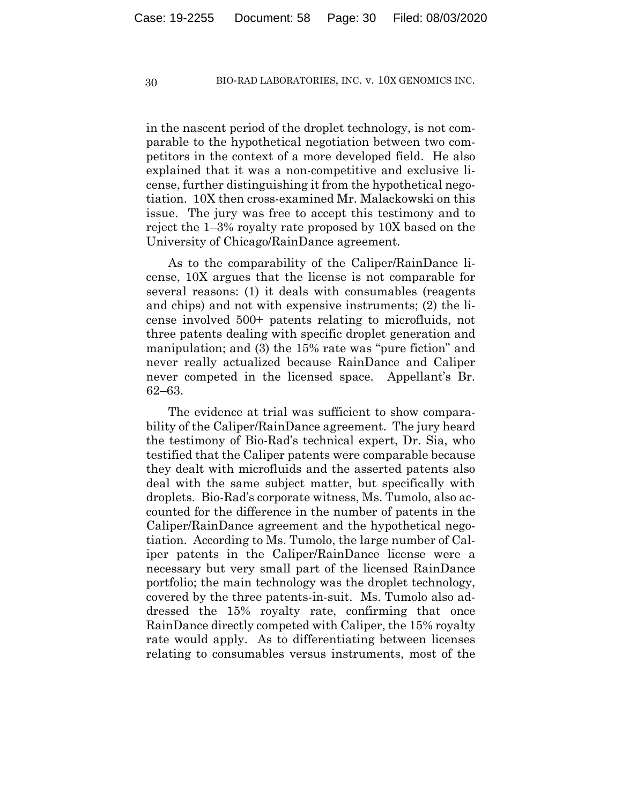in the nascent period of the droplet technology, is not comparable to the hypothetical negotiation between two competitors in the context of a more developed field. He also explained that it was a non-competitive and exclusive license, further distinguishing it from the hypothetical negotiation. 10X then cross-examined Mr. Malackowski on this issue. The jury was free to accept this testimony and to reject the 1–3% royalty rate proposed by 10X based on the University of Chicago/RainDance agreement.

As to the comparability of the Caliper/RainDance license, 10X argues that the license is not comparable for several reasons: (1) it deals with consumables (reagents and chips) and not with expensive instruments; (2) the license involved 500+ patents relating to microfluids, not three patents dealing with specific droplet generation and manipulation; and (3) the 15% rate was "pure fiction" and never really actualized because RainDance and Caliper never competed in the licensed space. Appellant's Br. 62–63.

The evidence at trial was sufficient to show comparability of the Caliper/RainDance agreement. The jury heard the testimony of Bio-Rad's technical expert, Dr. Sia, who testified that the Caliper patents were comparable because they dealt with microfluids and the asserted patents also deal with the same subject matter, but specifically with droplets. Bio-Rad's corporate witness, Ms. Tumolo, also accounted for the difference in the number of patents in the Caliper/RainDance agreement and the hypothetical negotiation. According to Ms. Tumolo, the large number of Caliper patents in the Caliper/RainDance license were a necessary but very small part of the licensed RainDance portfolio; the main technology was the droplet technology, covered by the three patents-in-suit. Ms. Tumolo also addressed the 15% royalty rate, confirming that once RainDance directly competed with Caliper, the 15% royalty rate would apply. As to differentiating between licenses relating to consumables versus instruments, most of the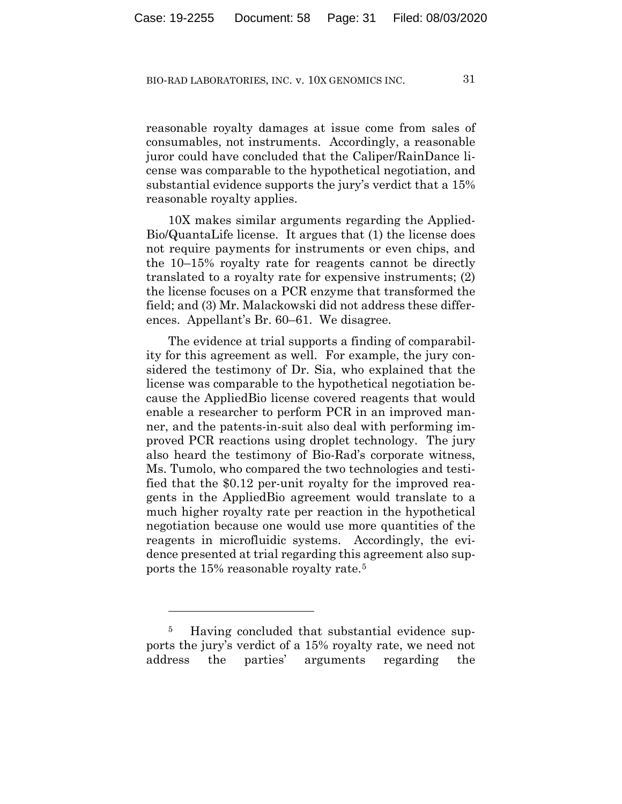reasonable royalty damages at issue come from sales of consumables, not instruments. Accordingly, a reasonable juror could have concluded that the Caliper/RainDance license was comparable to the hypothetical negotiation, and substantial evidence supports the jury's verdict that a 15% reasonable royalty applies.

10X makes similar arguments regarding the Applied-Bio/QuantaLife license. It argues that (1) the license does not require payments for instruments or even chips, and the 10–15% royalty rate for reagents cannot be directly translated to a royalty rate for expensive instruments; (2) the license focuses on a PCR enzyme that transformed the field; and (3) Mr. Malackowski did not address these differences. Appellant's Br. 60–61. We disagree.

The evidence at trial supports a finding of comparability for this agreement as well. For example, the jury considered the testimony of Dr. Sia, who explained that the license was comparable to the hypothetical negotiation because the AppliedBio license covered reagents that would enable a researcher to perform PCR in an improved manner, and the patents-in-suit also deal with performing improved PCR reactions using droplet technology. The jury also heard the testimony of Bio-Rad's corporate witness, Ms. Tumolo, who compared the two technologies and testified that the \$0.12 per-unit royalty for the improved reagents in the AppliedBio agreement would translate to a much higher royalty rate per reaction in the hypothetical negotiation because one would use more quantities of the reagents in microfluidic systems. Accordingly, the evidence presented at trial regarding this agreement also supports the 15% reasonable royalty rate.5

<sup>&</sup>lt;sup>5</sup> Having concluded that substantial evidence supports the jury's verdict of a 15% royalty rate, we need not address the parties' arguments regarding the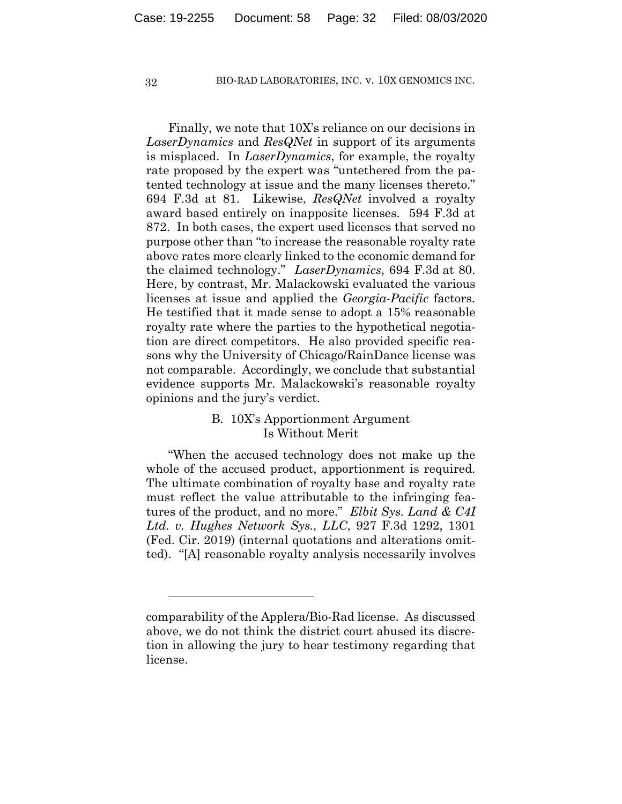Finally, we note that 10X's reliance on our decisions in *LaserDynamics* and *ResQNet* in support of its arguments is misplaced. In *LaserDynamics*, for example, the royalty rate proposed by the expert was "untethered from the patented technology at issue and the many licenses thereto." 694 F.3d at 81. Likewise, *ResQNet* involved a royalty award based entirely on inapposite licenses. 594 F.3d at 872. In both cases, the expert used licenses that served no purpose other than "to increase the reasonable royalty rate above rates more clearly linked to the economic demand for the claimed technology." *LaserDynamics*, 694 F.3d at 80. Here, by contrast, Mr. Malackowski evaluated the various licenses at issue and applied the *Georgia-Pacific* factors. He testified that it made sense to adopt a 15% reasonable royalty rate where the parties to the hypothetical negotiation are direct competitors. He also provided specific reasons why the University of Chicago/RainDance license was not comparable. Accordingly, we conclude that substantial evidence supports Mr. Malackowski's reasonable royalty opinions and the jury's verdict.

# B. 10X's Apportionment Argument Is Without Merit

"When the accused technology does not make up the whole of the accused product, apportionment is required. The ultimate combination of royalty base and royalty rate must reflect the value attributable to the infringing features of the product, and no more." *Elbit Sys. Land & C4I Ltd. v. Hughes Network Sys., LLC*, 927 F.3d 1292, 1301 (Fed. Cir. 2019) (internal quotations and alterations omitted). "[A] reasonable royalty analysis necessarily involves

comparability of the Applera/Bio-Rad license. As discussed above, we do not think the district court abused its discretion in allowing the jury to hear testimony regarding that license.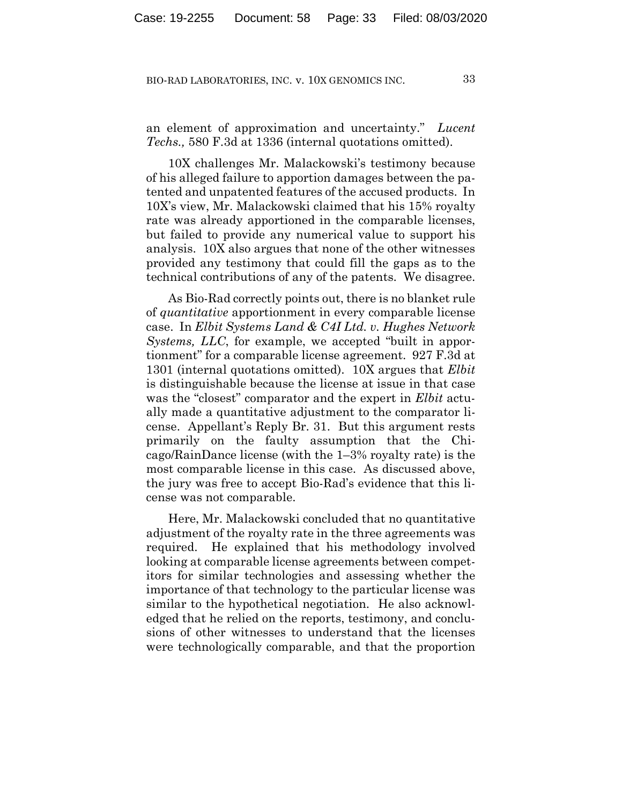an element of approximation and uncertainty." *Lucent Techs.,* 580 F.3d at 1336 (internal quotations omitted).

10X challenges Mr. Malackowski's testimony because of his alleged failure to apportion damages between the patented and unpatented features of the accused products. In 10X's view, Mr. Malackowski claimed that his 15% royalty rate was already apportioned in the comparable licenses, but failed to provide any numerical value to support his analysis. 10X also argues that none of the other witnesses provided any testimony that could fill the gaps as to the technical contributions of any of the patents. We disagree.

As Bio-Rad correctly points out, there is no blanket rule of *quantitative* apportionment in every comparable license case. In *Elbit Systems Land & C4I Ltd. v. Hughes Network Systems, LLC*, for example, we accepted "built in apportionment" for a comparable license agreement. 927 F.3d at 1301 (internal quotations omitted). 10X argues that *Elbit* is distinguishable because the license at issue in that case was the "closest" comparator and the expert in *Elbit* actually made a quantitative adjustment to the comparator license. Appellant's Reply Br. 31. But this argument rests primarily on the faulty assumption that the Chicago/RainDance license (with the 1–3% royalty rate) is the most comparable license in this case. As discussed above, the jury was free to accept Bio-Rad's evidence that this license was not comparable.

Here, Mr. Malackowski concluded that no quantitative adjustment of the royalty rate in the three agreements was required. He explained that his methodology involved looking at comparable license agreements between competitors for similar technologies and assessing whether the importance of that technology to the particular license was similar to the hypothetical negotiation. He also acknowledged that he relied on the reports, testimony, and conclusions of other witnesses to understand that the licenses were technologically comparable, and that the proportion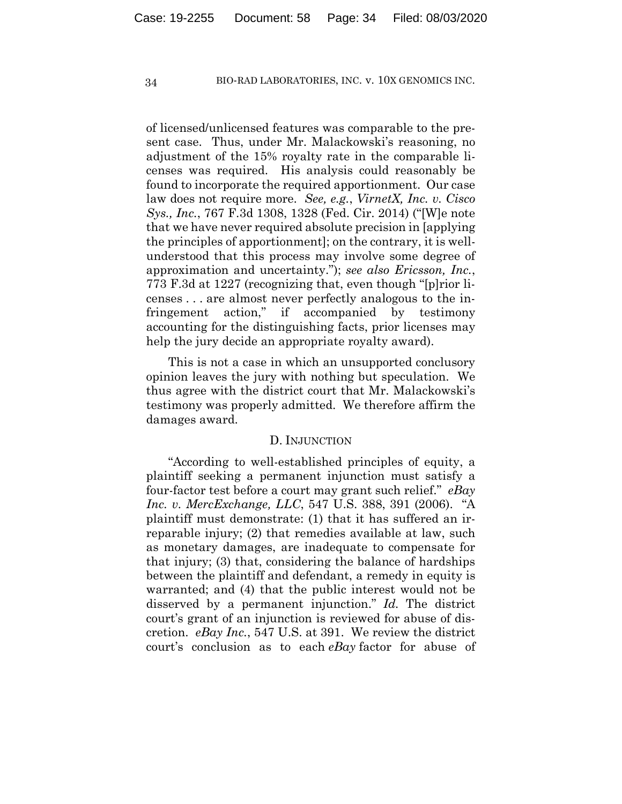of licensed/unlicensed features was comparable to the present case. Thus, under Mr. Malackowski's reasoning, no adjustment of the 15% royalty rate in the comparable licenses was required. His analysis could reasonably be found to incorporate the required apportionment. Our case law does not require more. *See, e.g.*, *VirnetX, Inc. v. Cisco Sys., Inc.*, 767 F.3d 1308, 1328 (Fed. Cir. 2014) ("[W]e note that we have never required absolute precision in [applying the principles of apportionment]; on the contrary, it is wellunderstood that this process may involve some degree of approximation and uncertainty."); *see also Ericsson, Inc.*, 773 F.3d at 1227 (recognizing that, even though "[p]rior licenses . . . are almost never perfectly analogous to the infringement action," if accompanied by testimony accounting for the distinguishing facts, prior licenses may help the jury decide an appropriate royalty award).

This is not a case in which an unsupported conclusory opinion leaves the jury with nothing but speculation. We thus agree with the district court that Mr. Malackowski's testimony was properly admitted. We therefore affirm the damages award.

#### D. INJUNCTION

"According to well-established principles of equity, a plaintiff seeking a permanent injunction must satisfy a four-factor test before a court may grant such relief." *eBay Inc. v. MercExchange, LLC*, 547 U.S. 388, 391 (2006). "A plaintiff must demonstrate: (1) that it has suffered an irreparable injury; (2) that remedies available at law, such as monetary damages, are inadequate to compensate for that injury; (3) that, considering the balance of hardships between the plaintiff and defendant, a remedy in equity is warranted; and (4) that the public interest would not be disserved by a permanent injunction." *Id.* The district court's grant of an injunction is reviewed for abuse of discretion. *eBay Inc.*, 547 U.S. at 391. We review the district court's conclusion as to each *eBay* factor for abuse of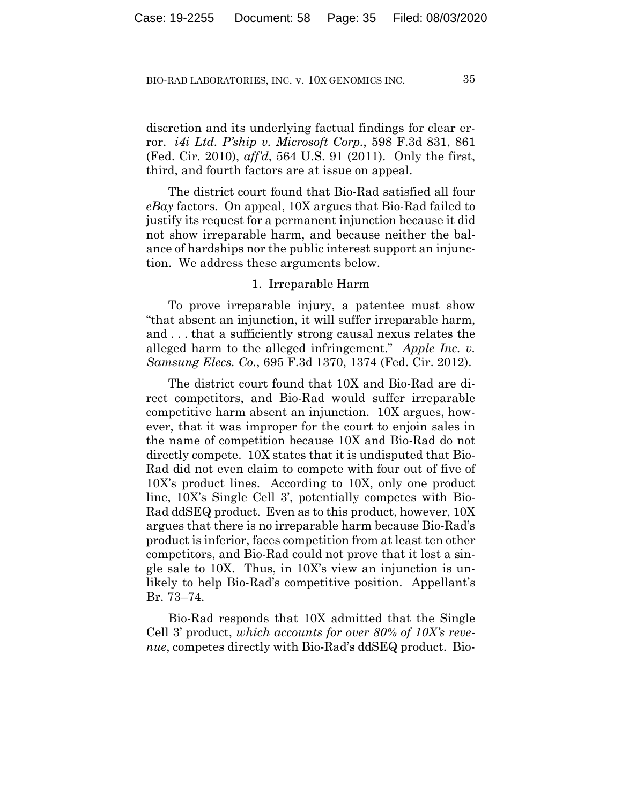discretion and its underlying factual findings for clear error. *i4i Ltd. P'ship v. Microsoft Corp.*, 598 F.3d 831, 861 (Fed. Cir. 2010), *aff'd*, 564 U.S. 91 (2011). Only the first, third, and fourth factors are at issue on appeal.

The district court found that Bio-Rad satisfied all four *eBay* factors. On appeal, 10X argues that Bio-Rad failed to justify its request for a permanent injunction because it did not show irreparable harm, and because neither the balance of hardships nor the public interest support an injunction. We address these arguments below.

## 1. Irreparable Harm

To prove irreparable injury, a patentee must show "that absent an injunction, it will suffer irreparable harm, and . . . that a sufficiently strong causal nexus relates the alleged harm to the alleged infringement." *Apple Inc. v. Samsung Elecs. Co.*, 695 F.3d 1370, 1374 (Fed. Cir. 2012).

The district court found that 10X and Bio-Rad are direct competitors, and Bio-Rad would suffer irreparable competitive harm absent an injunction. 10X argues, however, that it was improper for the court to enjoin sales in the name of competition because 10X and Bio-Rad do not directly compete. 10X states that it is undisputed that Bio-Rad did not even claim to compete with four out of five of 10X's product lines. According to 10X, only one product line, 10X's Single Cell 3', potentially competes with Bio-Rad ddSEQ product. Even as to this product, however, 10X argues that there is no irreparable harm because Bio-Rad's product is inferior, faces competition from at least ten other competitors, and Bio-Rad could not prove that it lost a single sale to 10X. Thus, in 10X's view an injunction is unlikely to help Bio-Rad's competitive position. Appellant's Br. 73–74.

Bio-Rad responds that 10X admitted that the Single Cell 3' product, *which accounts for over 80% of 10X's revenue*, competes directly with Bio-Rad's ddSEQ product. Bio-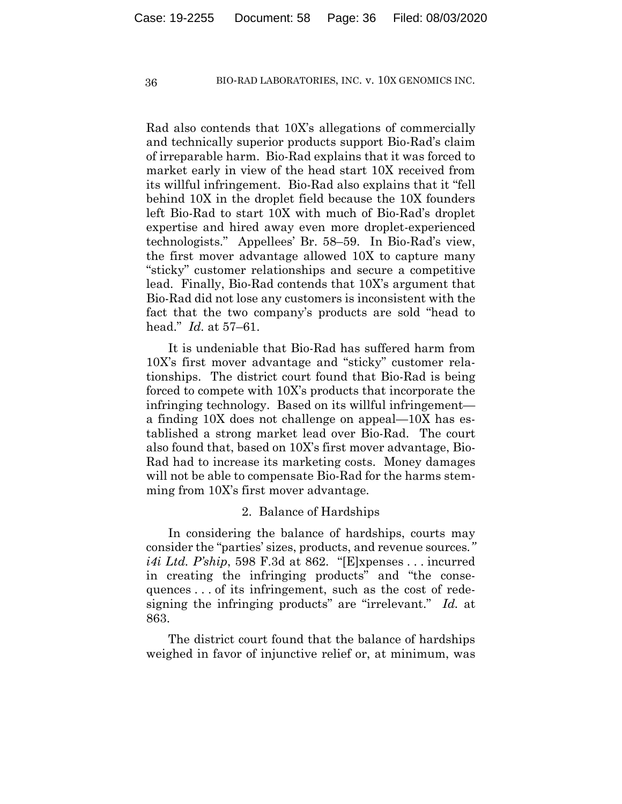Rad also contends that 10X's allegations of commercially and technically superior products support Bio-Rad's claim of irreparable harm. Bio-Rad explains that it was forced to market early in view of the head start 10X received from its willful infringement. Bio-Rad also explains that it "fell behind 10X in the droplet field because the 10X founders left Bio-Rad to start 10X with much of Bio-Rad's droplet expertise and hired away even more droplet-experienced technologists." Appellees' Br. 58–59. In Bio-Rad's view, the first mover advantage allowed 10X to capture many "sticky" customer relationships and secure a competitive lead. Finally, Bio-Rad contends that 10X's argument that Bio-Rad did not lose any customers is inconsistent with the fact that the two company's products are sold "head to head." *Id.* at 57–61.

It is undeniable that Bio-Rad has suffered harm from 10X's first mover advantage and "sticky" customer relationships. The district court found that Bio-Rad is being forced to compete with 10X's products that incorporate the infringing technology. Based on its willful infringement a finding 10X does not challenge on appeal—10X has established a strong market lead over Bio-Rad. The court also found that, based on 10X's first mover advantage, Bio-Rad had to increase its marketing costs. Money damages will not be able to compensate Bio-Rad for the harms stemming from 10X's first mover advantage.

#### 2. Balance of Hardships

In considering the balance of hardships, courts may consider the "parties' sizes, products, and revenue sources*." i4i Ltd. P'ship*, 598 F.3d at 862. "[E]xpenses . . . incurred in creating the infringing products" and "the consequences . . . of its infringement, such as the cost of redesigning the infringing products" are "irrelevant." *Id.* at 863.

The district court found that the balance of hardships weighed in favor of injunctive relief or, at minimum, was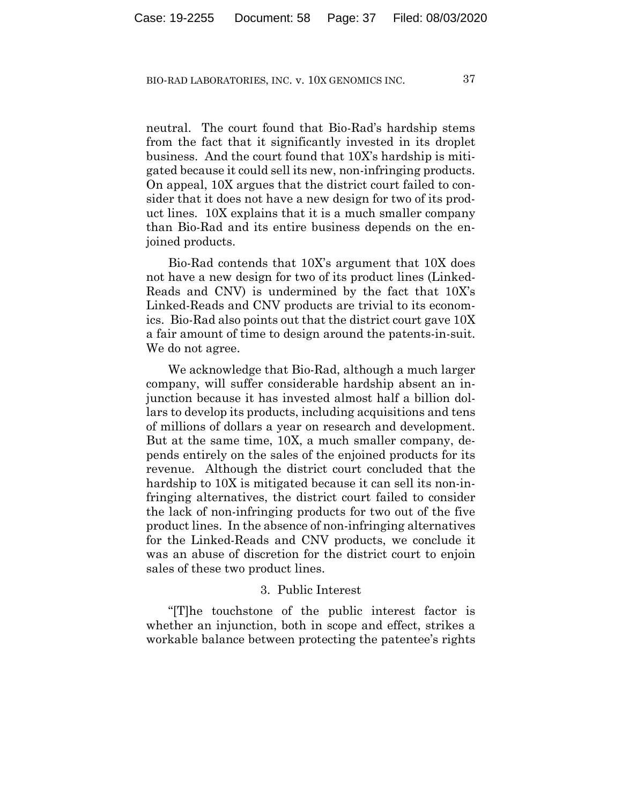neutral. The court found that Bio-Rad's hardship stems from the fact that it significantly invested in its droplet business. And the court found that 10X's hardship is mitigated because it could sell its new, non-infringing products. On appeal, 10X argues that the district court failed to consider that it does not have a new design for two of its product lines. 10X explains that it is a much smaller company than Bio-Rad and its entire business depends on the enjoined products.

Bio-Rad contends that 10X's argument that 10X does not have a new design for two of its product lines (Linked-Reads and CNV) is undermined by the fact that 10X's Linked-Reads and CNV products are trivial to its economics. Bio-Rad also points out that the district court gave 10X a fair amount of time to design around the patents-in-suit. We do not agree.

We acknowledge that Bio-Rad, although a much larger company, will suffer considerable hardship absent an injunction because it has invested almost half a billion dollars to develop its products, including acquisitions and tens of millions of dollars a year on research and development. But at the same time, 10X, a much smaller company, depends entirely on the sales of the enjoined products for its revenue. Although the district court concluded that the hardship to 10X is mitigated because it can sell its non-infringing alternatives, the district court failed to consider the lack of non-infringing products for two out of the five product lines. In the absence of non-infringing alternatives for the Linked-Reads and CNV products, we conclude it was an abuse of discretion for the district court to enjoin sales of these two product lines.

## 3. Public Interest

"[T]he touchstone of the public interest factor is whether an injunction, both in scope and effect, strikes a workable balance between protecting the patentee's rights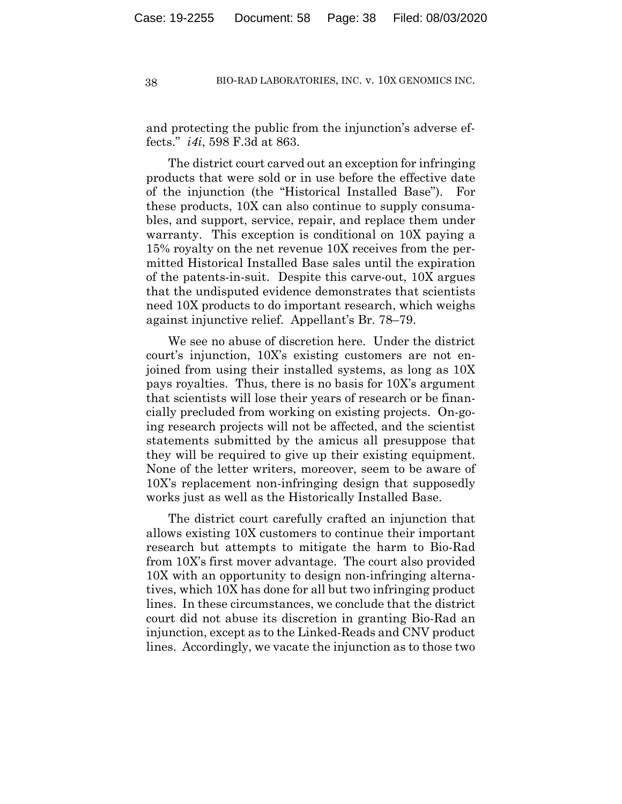and protecting the public from the injunction's adverse effects." *i4i*, 598 F.3d at 863.

The district court carved out an exception for infringing products that were sold or in use before the effective date of the injunction (the "Historical Installed Base"). For these products, 10X can also continue to supply consumables, and support, service, repair, and replace them under warranty. This exception is conditional on 10X paying a 15% royalty on the net revenue 10X receives from the permitted Historical Installed Base sales until the expiration of the patents-in-suit. Despite this carve-out, 10X argues that the undisputed evidence demonstrates that scientists need 10X products to do important research, which weighs against injunctive relief. Appellant's Br. 78–79.

We see no abuse of discretion here. Under the district court's injunction, 10X's existing customers are not enjoined from using their installed systems, as long as 10X pays royalties. Thus, there is no basis for 10X's argument that scientists will lose their years of research or be financially precluded from working on existing projects. On-going research projects will not be affected, and the scientist statements submitted by the amicus all presuppose that they will be required to give up their existing equipment. None of the letter writers, moreover, seem to be aware of 10X's replacement non-infringing design that supposedly works just as well as the Historically Installed Base.

The district court carefully crafted an injunction that allows existing 10X customers to continue their important research but attempts to mitigate the harm to Bio-Rad from 10X's first mover advantage. The court also provided 10X with an opportunity to design non-infringing alternatives, which 10X has done for all but two infringing product lines. In these circumstances, we conclude that the district court did not abuse its discretion in granting Bio-Rad an injunction, except as to the Linked-Reads and CNV product lines. Accordingly, we vacate the injunction as to those two